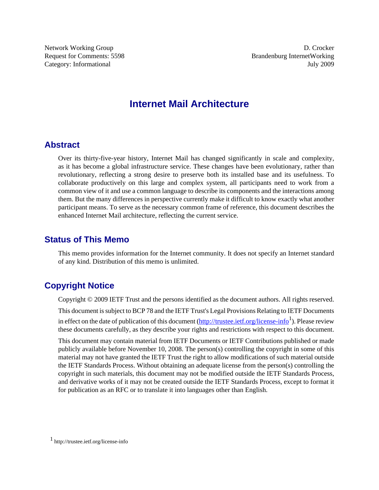Network Working Group D. Crocker Request for Comments: 5598 Brandenburg InternetWorking Category: Informational July 2009

# **Internet Mail Architecture**

# **Abstract**

Over its thirty-five-year history, Internet Mail has changed significantly in scale and complexity, as it has become a global infrastructure service. These changes have been evolutionary, rather than revolutionary, reflecting a strong desire to preserve both its installed base and its usefulness. To collaborate productively on this large and complex system, all participants need to work from a common view of it and use a common language to describe its components and the interactions among them. But the many differences in perspective currently make it difficult to know exactly what another participant means. To serve as the necessary common frame of reference, this document describes the enhanced Internet Mail architecture, reflecting the current service.

# **Status of This Memo**

This memo provides information for the Internet community. It does not specify an Internet standard of any kind. Distribution of this memo is unlimited.

# **Copyright Notice**

Copyright © 2009 IETF Trust and the persons identified as the document authors. All rights reserved.

This document is subject to BCP 78 and the IETF Trust's Legal Provisions Relating to IETF Documents in effect on the date of publication of this document (<http://trustee.ietf.org/license-info><sup>1</sup>). Please review these documents carefully, as they describe your rights and restrictions with respect to this document.

This document may contain material from IETF Documents or IETF Contributions published or made publicly available before November 10, 2008. The person(s) controlling the copyright in some of this material may not have granted the IETF Trust the right to allow modifications of such material outside the IETF Standards Process. Without obtaining an adequate license from the person(s) controlling the copyright in such materials, this document may not be modified outside the IETF Standards Process, and derivative works of it may not be created outside the IETF Standards Process, except to format it for publication as an RFC or to translate it into languages other than English.

<sup>1</sup> http://trustee.ietf.org/license-info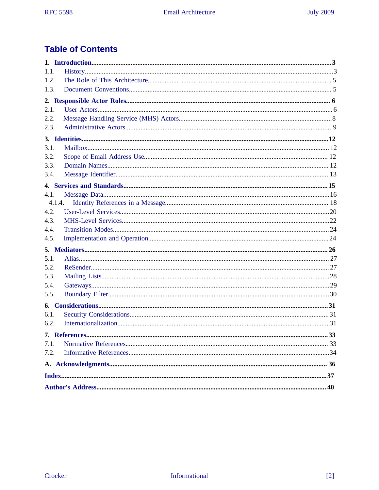# **Table of Contents**

| 1.1.   |  |  |
|--------|--|--|
| 1.2.   |  |  |
| 1.3.   |  |  |
|        |  |  |
| 2.1.   |  |  |
| 2.2.   |  |  |
| 2.3.   |  |  |
|        |  |  |
| 3.1.   |  |  |
| 3.2.   |  |  |
| 3.3.   |  |  |
| 3.4.   |  |  |
|        |  |  |
| 4.1.   |  |  |
| 4.1.4. |  |  |
| 4.2.   |  |  |
| 4.3.   |  |  |
| 4.4.   |  |  |
| 4.5.   |  |  |
|        |  |  |
| 5.1.   |  |  |
| 5.2.   |  |  |
| 5.3.   |  |  |
| 5.4.   |  |  |
| 5.5.   |  |  |
|        |  |  |
| 6.1.   |  |  |
| 6.2.   |  |  |
|        |  |  |
| 7.1.   |  |  |
| 7.2.   |  |  |
|        |  |  |
|        |  |  |
|        |  |  |
|        |  |  |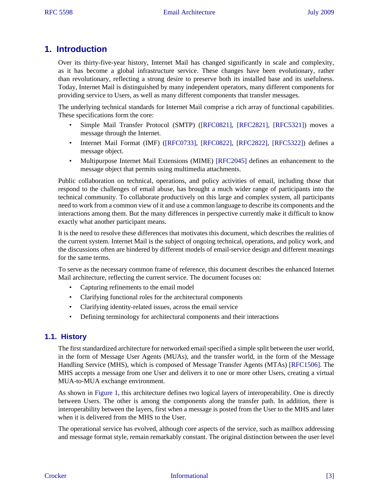# <span id="page-2-0"></span>**1. Introduction**

Over its thirty-five-year history, Internet Mail has changed significantly in scale and complexity, as it has become a global infrastructure service. These changes have been evolutionary, rather than revolutionary, reflecting a strong desire to preserve both its installed base and its usefulness. Today, Internet Mail is distinguished by many independent operators, many different components for providing service to Users, as well as many different components that transfer messages.

The underlying technical standards for Internet Mail comprise a rich array of functional capabilities. These specifications form the core:

- <span id="page-2-16"></span><span id="page-2-14"></span><span id="page-2-10"></span>Simple Mail Transfer Protocol (SMTP) [\(\[RFC0821\]](#page-33-1), [\[RFC2821\],](#page-33-2) [\[RFC5321\]](#page-33-3)) moves a message through the Internet.
- <span id="page-2-17"></span><span id="page-2-15"></span><span id="page-2-11"></span><span id="page-2-9"></span>• Internet Mail Format (IMF) ([\[RFC0733\],](#page-33-4) [\[RFC0822\],](#page-33-5) [\[RFC2822\]](#page-34-0), [\[RFC5322\]\)](#page-33-6) defines a message object.
- <span id="page-2-13"></span>• Multipurpose Internet Mail Extensions (MIME) [\[RFC2045\]](#page-32-2) defines an enhancement to the message object that permits using multimedia attachments.

Public collaboration on technical, operations, and policy activities of email, including those that respond to the challenges of email abuse, has brought a much wider range of participants into the technical community. To collaborate productively on this large and complex system, all participants need to work from a common view of it and use a common language to describe its components and the interactions among them. But the many differences in perspective currently make it difficult to know exactly what another participant means.

<span id="page-2-8"></span>It is the need to resolve these differences that motivates this document, which describes the realities of the current system. Internet Mail is the subject of ongoing technical, operations, and policy work, and the discussions often are hindered by different models of email-service design and different meanings for the same terms.

To serve as the necessary common frame of reference, this document describes the enhanced Internet Mail architecture, reflecting the current service. The document focuses on:

- Capturing refinements to the email model
- Clarifying functional roles for the architectural components
- Clarifying identity-related issues, across the email service
- <span id="page-2-12"></span>• Defining terminology for architectural components and their interactions

## <span id="page-2-1"></span>**1.1. History**

The first standardized architecture for networked email specified a simple split between the user world, in the form of Message User Agents (MUAs), and the transfer world, in the form of the Message Handling Service (MHS), which is composed of Message Transfer Agents (MTAs) [\[RFC1506\]](#page-33-7). The MHS accepts a message from one User and delivers it to one or more other Users, creating a virtual MUA-to-MUA exchange environment.

<span id="page-2-19"></span><span id="page-2-18"></span><span id="page-2-7"></span><span id="page-2-6"></span><span id="page-2-5"></span><span id="page-2-4"></span><span id="page-2-3"></span><span id="page-2-2"></span>As shown in [Figure 1,](#page-3-0) this architecture defines two logical layers of interoperability. One is directly between Users. The other is among the components along the transfer path. In addition, there is interoperability between the layers, first when a message is posted from the User to the MHS and later when it is delivered from the MHS to the User.

The operational service has evolved, although core aspects of the service, such as mailbox addressing and message format style, remain remarkably constant. The original distinction between the user level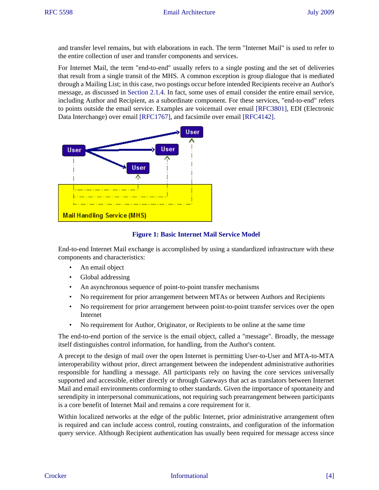<span id="page-3-7"></span><span id="page-3-6"></span>and transfer level remains, but with elaborations in each. The term "Internet Mail" is used to refer to the entire collection of user and transfer components and services.

For Internet Mail, the term "end-to-end" usually refers to a single posting and the set of deliveries that result from a single transit of the MHS. A common exception is group dialogue that is mediated through a Mailing List; in this case, two postings occur before intended Recipients receive an Author's message, as discussed in [Section 2.1.4.](#page-6-0) In fact, some uses of email consider the entire email service, including Author and Recipient, as a subordinate component. For these services, "end-to-end" refers to points outside the email service. Examples are voicemail over email [\[RFC3801\]](#page-34-1), EDI (Electronic Data Interchange) over email [\[RFC1767\]](#page-33-8), and facsimile over email [\[RFC4142\]](#page-34-2).

<span id="page-3-10"></span><span id="page-3-0"></span>

## <span id="page-3-12"></span><span id="page-3-11"></span><span id="page-3-9"></span><span id="page-3-8"></span><span id="page-3-5"></span><span id="page-3-4"></span><span id="page-3-3"></span><span id="page-3-2"></span><span id="page-3-1"></span>**Figure 1: Basic Internet Mail Service Model**

End-to-end Internet Mail exchange is accomplished by using a standardized infrastructure with these components and characteristics:

- An email object
- Global addressing
- An asynchronous sequence of point-to-point transfer mechanisms
- No requirement for prior arrangement between MTAs or between Authors and Recipients
- No requirement for prior arrangement between point-to-point transfer services over the open Internet
- No requirement for Author, Originator, or Recipients to be online at the same time

The end-to-end portion of the service is the email object, called a "message". Broadly, the message itself distinguishes control information, for handling, from the Author's content.

A precept to the design of mail over the open Internet is permitting User-to-User and MTA-to-MTA interoperability without prior, direct arrangement between the independent administrative authorities responsible for handling a message. All participants rely on having the core services universally supported and accessible, either directly or through Gateways that act as translators between Internet Mail and email environments conforming to other standards. Given the importance of spontaneity and serendipity in interpersonal communications, not requiring such prearrangement between participants is a core benefit of Internet Mail and remains a core requirement for it.

Within localized networks at the edge of the public Internet, prior administrative arrangement often is required and can include access control, routing constraints, and configuration of the information query service. Although Recipient authentication has usually been required for message access since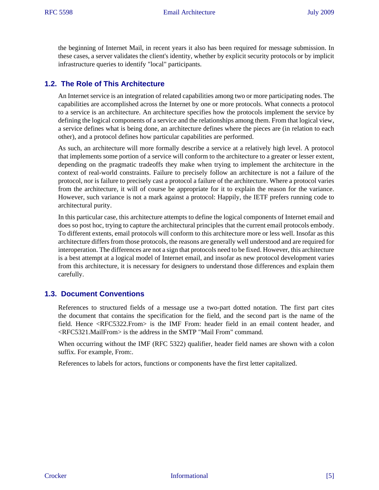the beginning of Internet Mail, in recent years it also has been required for message submission. In these cases, a server validates the client's identity, whether by explicit security protocols or by implicit infrastructure queries to identify "local" participants.

## <span id="page-4-0"></span>**1.2. The Role of This Architecture**

An Internet service is an integration of related capabilities among two or more participating nodes. The capabilities are accomplished across the Internet by one or more protocols. What connects a protocol to a service is an architecture. An architecture specifies how the protocols implement the service by defining the logical components of a service and the relationships among them. From that logical view, a service defines what is being done, an architecture defines where the pieces are (in relation to each other), and a protocol defines how particular capabilities are performed.

As such, an architecture will more formally describe a service at a relatively high level. A protocol that implements some portion of a service will conform to the architecture to a greater or lesser extent, depending on the pragmatic tradeoffs they make when trying to implement the architecture in the context of real-world constraints. Failure to precisely follow an architecture is not a failure of the protocol, nor is failure to precisely cast a protocol a failure of the architecture. Where a protocol varies from the architecture, it will of course be appropriate for it to explain the reason for the variance. However, such variance is not a mark against a protocol: Happily, the IETF prefers running code to architectural purity.

In this particular case, this architecture attempts to define the logical components of Internet email and does so post hoc, trying to capture the architectural principles that the current email protocols embody. To different extents, email protocols will conform to this architecture more or less well. Insofar as this architecture differs from those protocols, the reasons are generally well understood and are required for interoperation. The differences are not a sign that protocols need to be fixed. However, this architecture is a best attempt at a logical model of Internet email, and insofar as new protocol development varies from this architecture, it is necessary for designers to understand those differences and explain them carefully.

## <span id="page-4-3"></span><span id="page-4-1"></span>**1.3. Document Conventions**

References to structured fields of a message use a two-part dotted notation. The first part cites the document that contains the specification for the field, and the second part is the name of the field. Hence <RFC5322.From> is the IMF From: header field in an email content header, and <RFC5321.MailFrom> is the address in the SMTP "Mail From" command.

When occurring without the IMF (RFC 5322) qualifier, header field names are shown with a colon suffix. For example, From:.

<span id="page-4-2"></span>References to labels for actors, functions or components have the first letter capitalized.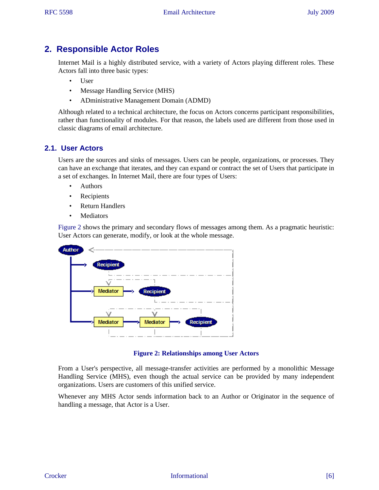# <span id="page-5-0"></span>**2. Responsible Actor Roles**

Internet Mail is a highly distributed service, with a variety of Actors playing different roles. These Actors fall into three basic types:

- User
- Message Handling Service (MHS)
- ADministrative Management Domain (ADMD)

Although related to a technical architecture, the focus on Actors concerns participant responsibilities, rather than functionality of modules. For that reason, the labels used are different from those used in classic diagrams of email architecture.

# <span id="page-5-1"></span>**2.1. User Actors**

Users are the sources and sinks of messages. Users can be people, organizations, or processes. They can have an exchange that iterates, and they can expand or contract the set of Users that participate in a set of exchanges. In Internet Mail, there are four types of Users:

- Authors
- Recipients
- Return Handlers
- Mediators

[Figure 2](#page-5-2) shows the primary and secondary flows of messages among them. As a pragmatic heuristic: User Actors can generate, modify, or look at the whole message.

<span id="page-5-2"></span>

**Figure 2: Relationships among User Actors**

From a User's perspective, all message-transfer activities are performed by a monolithic Message Handling Service (MHS), even though the actual service can be provided by many independent organizations. Users are customers of this unified service.

Whenever any MHS Actor sends information back to an Author or Originator in the sequence of handling a message, that Actor is a User.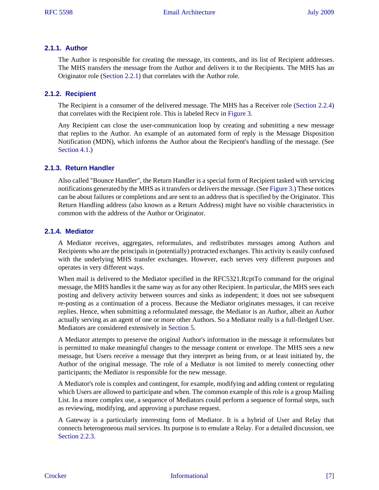#### **2.1.1. Author**

<span id="page-6-4"></span><span id="page-6-1"></span>The Author is responsible for creating the message, its contents, and its list of Recipient addresses. The MHS transfers the message from the Author and delivers it to the Recipients. The MHS has an Originator role [\(Section 2.2.1\)](#page-7-1) that correlates with the Author role.

### **2.1.2. Recipient**

<span id="page-6-13"></span><span id="page-6-11"></span><span id="page-6-2"></span>The Recipient is a consumer of the delivered message. The MHS has a Receiver role [\(Section 2.2.4](#page-8-1)) that correlates with the Recipient role. This is labeled Recv in [Figure 3](#page-7-2).

<span id="page-6-10"></span><span id="page-6-9"></span>Any Recipient can close the user-communication loop by creating and submitting a new message that replies to the Author. An example of an automated form of reply is the Message Disposition Notification (MDN), which informs the Author about the Recipient's handling of the message. (See [Section 4.1.](#page-15-0))

#### <span id="page-6-3"></span>**2.1.3. Return Handler**

Also called "Bounce Handler", the Return Handler is a special form of Recipient tasked with servicing notifications generated by the MHS as it transfers or delivers the message. (See [Figure 3](#page-7-2).) These notices can be about failures or completions and are sent to an address that is specified by the Originator. This Return Handling address (also known as a Return Address) might have no visible characteristics in common with the address of the Author or Originator.

## <span id="page-6-0"></span>**2.1.4. Mediator**

A Mediator receives, aggregates, reformulates, and redistributes messages among Authors and Recipients who are the principals in (potentially) protracted exchanges. This activity is easily confused with the underlying MHS transfer exchanges. However, each serves very different purposes and operates in very different ways.

When mail is delivered to the Mediator specified in the RFC5321.RcptTo command for the original message, the MHS handles it the same way as for any other Recipient. In particular, the MHS sees each posting and delivery activity between sources and sinks as independent; it does not see subsequent re-posting as a continuation of a process. Because the Mediator originates messages, it can receive replies. Hence, when submitting a reformulated message, the Mediator is an Author, albeit an Author actually serving as an agent of one or more other Authors. So a Mediator really is a full-fledged User. Mediators are considered extensively in [Section 5](#page-25-0).

<span id="page-6-6"></span>A Mediator attempts to preserve the original Author's information in the message it reformulates but is permitted to make meaningful changes to the message content or envelope. The MHS sees a new message, but Users receive a message that they interpret as being from, or at least initiated by, the Author of the original message. The role of a Mediator is not limited to merely connecting other participants; the Mediator is responsible for the new message.

<span id="page-6-12"></span><span id="page-6-7"></span>A Mediator's role is complex and contingent, for example, modifying and adding content or regulating which Users are allowed to participate and when. The common example of this role is a group Mailing List. In a more complex use, a sequence of Mediators could perform a sequence of formal steps, such as reviewing, modifying, and approving a purchase request.

<span id="page-6-8"></span><span id="page-6-5"></span>A Gateway is a particularly interesting form of Mediator. It is a hybrid of User and Relay that connects heterogeneous mail services. Its purpose is to emulate a Relay. For a detailed discussion, see [Section 2.2.3.](#page-8-2)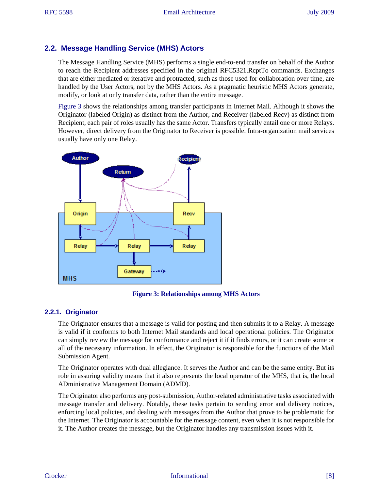## <span id="page-7-15"></span><span id="page-7-0"></span>**2.2. Message Handling Service (MHS) Actors**

The Message Handling Service (MHS) performs a single end-to-end transfer on behalf of the Author to reach the Recipient addresses specified in the original RFC5321.RcptTo commands. Exchanges that are either mediated or iterative and protracted, such as those used for collaboration over time, are handled by the User Actors, not by the MHS Actors. As a pragmatic heuristic MHS Actors generate, modify, or look at only transfer data, rather than the entire message.

<span id="page-7-31"></span><span id="page-7-28"></span><span id="page-7-27"></span><span id="page-7-26"></span><span id="page-7-25"></span><span id="page-7-22"></span><span id="page-7-20"></span><span id="page-7-18"></span><span id="page-7-17"></span><span id="page-7-14"></span><span id="page-7-12"></span><span id="page-7-10"></span><span id="page-7-7"></span>[Figure 3](#page-7-2) shows the relationships among transfer participants in Internet Mail. Although it shows the Originator (labeled Origin) as distinct from the Author, and Receiver (labeled Recv) as distinct from Recipient, each pair of roles usually has the same Actor. Transfers typically entail one or more Relays. However, direct delivery from the Originator to Receiver is possible. Intra-organization mail services usually have only one Relay.

<span id="page-7-2"></span>

<span id="page-7-32"></span><span id="page-7-29"></span><span id="page-7-19"></span><span id="page-7-16"></span><span id="page-7-13"></span><span id="page-7-11"></span><span id="page-7-9"></span><span id="page-7-8"></span><span id="page-7-5"></span><span id="page-7-4"></span>**Figure 3: Relationships among MHS Actors**

## <span id="page-7-1"></span>**2.2.1. Originator**

The Originator ensures that a message is valid for posting and then submits it to a Relay. A message is valid if it conforms to both Internet Mail standards and local operational policies. The Originator can simply review the message for conformance and reject it if it finds errors, or it can create some or all of the necessary information. In effect, the Originator is responsible for the functions of the Mail Submission Agent.

<span id="page-7-30"></span><span id="page-7-24"></span><span id="page-7-23"></span><span id="page-7-21"></span><span id="page-7-6"></span>The Originator operates with dual allegiance. It serves the Author and can be the same entity. But its role in assuring validity means that it also represents the local operator of the MHS, that is, the local ADministrative Management Domain (ADMD).

<span id="page-7-3"></span>The Originator also performs any post-submission, Author-related administrative tasks associated with message transfer and delivery. Notably, these tasks pertain to sending error and delivery notices, enforcing local policies, and dealing with messages from the Author that prove to be problematic for the Internet. The Originator is accountable for the message content, even when it is not responsible for it. The Author creates the message, but the Originator handles any transmission issues with it.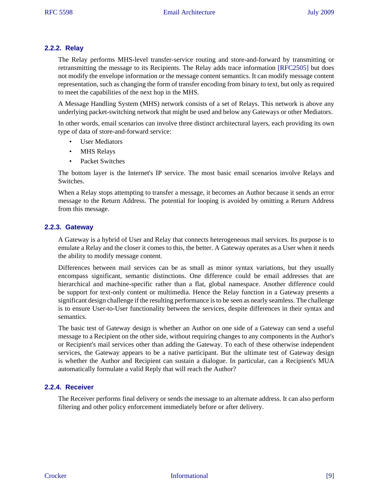### **2.2.2. Relay**

<span id="page-8-15"></span>The Relay performs MHS-level transfer-service routing and store-and-forward by transmitting or retransmitting the message to its Recipients. The Relay adds trace information [\[RFC2505\]](#page-33-9) but does not modify the envelope information or the message content semantics. It can modify message content representation, such as changing the form of transfer encoding from binary to text, but only as required to meet the capabilities of the next hop in the MHS.

A Message Handling System (MHS) network consists of a set of Relays. This network is above any underlying packet-switching network that might be used and below any Gateways or other Mediators.

In other words, email scenarios can involve three distinct architectural layers, each providing its own type of data of store-and-forward service:

- <span id="page-8-12"></span><span id="page-8-10"></span><span id="page-8-9"></span><span id="page-8-5"></span>User Mediators
- MHS Relays
- Packet Switches

The bottom layer is the Internet's IP service. The most basic email scenarios involve Relays and Switches.

When a Relay stops attempting to transfer a message, it becomes an Author because it sends an error message to the Return Address. The potential for looping is avoided by omitting a Return Address from this message.

#### <span id="page-8-13"></span><span id="page-8-2"></span>**2.2.3. Gateway**

<span id="page-8-11"></span><span id="page-8-6"></span><span id="page-8-4"></span>A Gateway is a hybrid of User and Relay that connects heterogeneous mail services. Its purpose is to emulate a Relay and the closer it comes to this, the better. A Gateway operates as a User when it needs the ability to modify message content.

Differences between mail services can be as small as minor syntax variations, but they usually encompass significant, semantic distinctions. One difference could be email addresses that are hierarchical and machine-specific rather than a flat, global namespace. Another difference could be support for text-only content or multimedia. Hence the Relay function in a Gateway presents a significant design challenge if the resulting performance is to be seen as nearly seamless. The challenge is to ensure User-to-User functionality between the services, despite differences in their syntax and semantics.

The basic test of Gateway design is whether an Author on one side of a Gateway can send a useful message to a Recipient on the other side, without requiring changes to any components in the Author's or Recipient's mail services other than adding the Gateway. To each of these otherwise independent services, the Gateway appears to be a native participant. But the ultimate test of Gateway design is whether the Author and Recipient can sustain a dialogue. In particular, can a Recipient's MUA automatically formulate a valid Reply that will reach the Author?

## <span id="page-8-1"></span>**2.2.4. Receiver**

<span id="page-8-16"></span><span id="page-8-14"></span><span id="page-8-8"></span><span id="page-8-7"></span><span id="page-8-3"></span><span id="page-8-0"></span>The Receiver performs final delivery or sends the message to an alternate address. It can also perform filtering and other policy enforcement immediately before or after delivery.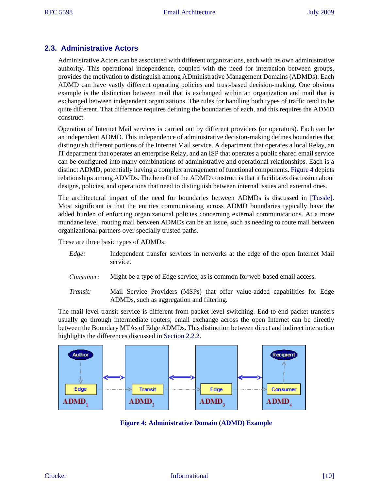## **2.3. Administrative Actors**

Administrative Actors can be associated with different organizations, each with its own administrative authority. This operational independence, coupled with the need for interaction between groups, provides the motivation to distinguish among ADministrative Management Domains (ADMDs). Each ADMD can have vastly different operating policies and trust-based decision-making. One obvious example is the distinction between mail that is exchanged within an organization and mail that is exchanged between independent organizations. The rules for handling both types of traffic tend to be quite different. That difference requires defining the boundaries of each, and this requires the ADMD construct.

<span id="page-9-9"></span><span id="page-9-5"></span><span id="page-9-1"></span>Operation of Internet Mail services is carried out by different providers (or operators). Each can be an independent ADMD. This independence of administrative decision-making defines boundaries that distinguish different portions of the Internet Mail service. A department that operates a local Relay, an IT department that operates an enterprise Relay, and an ISP that operates a public shared email service can be configured into many combinations of administrative and operational relationships. Each is a distinct ADMD, potentially having a complex arrangement of functional components. [Figure 4](#page-9-0) depicts relationships among ADMDs. The benefit of the ADMD construct is that it facilitates discussion about designs, policies, and operations that need to distinguish between internal issues and external ones.

The architectural impact of the need for boundaries between ADMDs is discussed in [\[Tussle\]](#page-34-3). Most significant is that the entities communicating across ADMD boundaries typically have the added burden of enforcing organizational policies concerning external communications. At a more mundane level, routing mail between ADMDs can be an issue, such as needing to route mail between organizational partners over specially trusted paths.

These are three basic types of ADMDs:

- <span id="page-9-18"></span><span id="page-9-16"></span><span id="page-9-12"></span><span id="page-9-7"></span><span id="page-9-6"></span><span id="page-9-3"></span>*Edge:* Independent transfer services in networks at the edge of the open Internet Mail service.
- *Consumer:* Might be a type of Edge service, as is common for web-based email access.
- <span id="page-9-17"></span><span id="page-9-4"></span>*Transit:* Mail Service Providers (MSPs) that offer value-added capabilities for Edge ADMDs, such as aggregation and filtering.

The mail-level transit service is different from packet-level switching. End-to-end packet transfers usually go through intermediate routers; email exchange across the open Internet can be directly between the Boundary MTAs of Edge ADMDs. This distinction between direct and indirect interaction highlights the differences discussed in [Section 2.2.2.](#page-7-3)

<span id="page-9-0"></span>

<span id="page-9-15"></span><span id="page-9-14"></span><span id="page-9-13"></span><span id="page-9-11"></span><span id="page-9-10"></span><span id="page-9-8"></span><span id="page-9-2"></span>**Figure 4: Administrative Domain (ADMD) Example**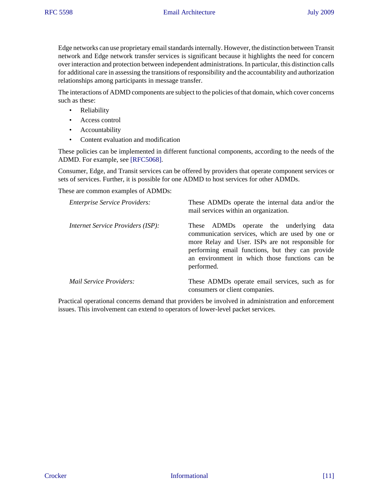Edge networks can use proprietary email standards internally. However, the distinction between Transit network and Edge network transfer services is significant because it highlights the need for concern over interaction and protection between independent administrations. In particular, this distinction calls for additional care in assessing the transitions of responsibility and the accountability and authorization relationships among participants in message transfer.

The interactions of ADMD components are subject to the policies of that domain, which cover concerns such as these:

- Reliability
- Access control
- Accountability
- <span id="page-10-0"></span>• Content evaluation and modification

These policies can be implemented in different functional components, according to the needs of the ADMD. For example, see [\[RFC5068\].](#page-34-4)

Consumer, Edge, and Transit services can be offered by providers that operate component services or sets of services. Further, it is possible for one ADMD to host services for other ADMDs.

These are common examples of ADMDs:

| <b>Enterprise Service Providers:</b>     | These ADMDs operate the internal data and/or the<br>mail services within an organization.                                                                                                                                                                               |
|------------------------------------------|-------------------------------------------------------------------------------------------------------------------------------------------------------------------------------------------------------------------------------------------------------------------------|
| <i>Internet Service Providers (ISP):</i> | These ADMDs operate the underlying<br>data<br>communication services, which are used by one or<br>more Relay and User. ISPs are not responsible for<br>performing email functions, but they can provide<br>an environment in which those functions can be<br>performed. |
| <i>Mail Service Providers:</i>           | These ADMDs operate email services, such as for<br>consumers or client companies.                                                                                                                                                                                       |

Practical operational concerns demand that providers be involved in administration and enforcement issues. This involvement can extend to operators of lower-level packet services.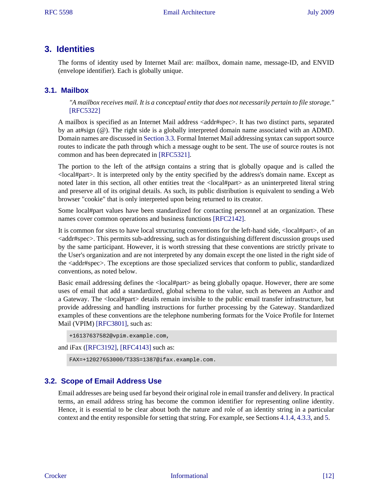# <span id="page-11-0"></span>**3. Identities**

The forms of identity used by Internet Mail are: mailbox, domain name, message-ID, and ENVID (envelope identifier). Each is globally unique.

## <span id="page-11-1"></span>**3.1. Mailbox**

<span id="page-11-20"></span><span id="page-11-13"></span><span id="page-11-8"></span><span id="page-11-5"></span><span id="page-11-4"></span>*"A mailbox receives mail. It is a conceptual entity that does not necessarily pertain to file storage."* [\[RFC5322\]](#page-33-6)

A mailbox is specified as an Internet Mail address <addr#spec>. It has two distinct parts, separated by an at#sign (@). The right side is a globally interpreted domain name associated with an ADMD. Domain names are discussed in [Section 3.3](#page-11-3). Formal Internet Mail addressing syntax can support source routes to indicate the path through which a message ought to be sent. The use of source routes is not common and has been deprecated in [\[RFC5321\].](#page-33-3)

<span id="page-11-19"></span>The portion to the left of the at#sign contains a string that is globally opaque and is called the <local#part>. It is interpreted only by the entity specified by the address's domain name. Except as noted later in this section, all other entities treat the <local#part> as an uninterpreted literal string and preserve all of its original details. As such, its public distribution is equivalent to sending a Web browser "cookie" that is only interpreted upon being returned to its creator.

<span id="page-11-15"></span><span id="page-11-14"></span><span id="page-11-12"></span><span id="page-11-6"></span>Some local#part values have been standardized for contacting personnel at an organization. These names cover common operations and business functions [\[RFC2142\]](#page-33-10).

It is common for sites to have local structuring conventions for the left-hand side, <local#part>, of an  $\alpha$ ddr#spec $>$ . This permits sub-addressing, such as for distinguishing different discussion groups used by the same participant. However, it is worth stressing that these conventions are strictly private to the User's organization and are not interpreted by any domain except the one listed in the right side of the  $\leq$  addr#spec>. The exceptions are those specialized services that conform to public, standardized conventions, as noted below.

<span id="page-11-11"></span>Basic email addressing defines the <local#part> as being globally opaque. However, there are some uses of email that add a standardized, global schema to the value, such as between an Author and a Gateway. The <local#part> details remain invisible to the public email transfer infrastructure, but provide addressing and handling instructions for further processing by the Gateway. Standardized examples of these conventions are the telephone numbering formats for the Voice Profile for Internet Mail (VPIM) [\[RFC3801\]](#page-34-1), such as:

```
+16137637582@vpim.example.com,
```
and iFax ([\[RFC3192\],](#page-32-3) [\[RFC4143\]](#page-34-5) such as:

<span id="page-11-10"></span><span id="page-11-7"></span>FAX=+12027653000/T33S=1387@ifax.example.com.

## <span id="page-11-2"></span>**3.2. Scope of Email Address Use**

<span id="page-11-3"></span>Email addresses are being used far beyond their original role in email transfer and delivery. In practical terms, an email address string has become the common identifier for representing online identity. Hence, it is essential to be clear about both the nature and role of an identity string in a particular context and the entity responsible for setting that string. For example, see Sections [4.1.4,](#page-17-0) [4.3.3,](#page-22-0) and [5.](#page-25-0)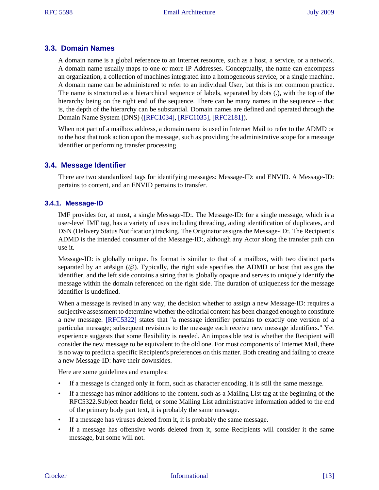## **3.3. Domain Names**

A domain name is a global reference to an Internet resource, such as a host, a service, or a network. A domain name usually maps to one or more IP Addresses. Conceptually, the name can encompass an organization, a collection of machines integrated into a homogeneous service, or a single machine. A domain name can be administered to refer to an individual User, but this is not common practice. The name is structured as a hierarchical sequence of labels, separated by dots (.), with the top of the hierarchy being on the right end of the sequence. There can be many names in the sequence -- that is, the depth of the hierarchy can be substantial. Domain names are defined and operated through the Domain Name System (DNS) [\(\[RFC1034\]](#page-32-4), [\[RFC1035\],](#page-32-5) [\[RFC2181\]](#page-32-6)).

<span id="page-12-9"></span><span id="page-12-8"></span><span id="page-12-7"></span>When not part of a mailbox address, a domain name is used in Internet Mail to refer to the ADMD or to the host that took action upon the message, such as providing the administrative scope for a message identifier or performing transfer processing.

## <span id="page-12-0"></span>**3.4. Message Identifier**

There are two standardized tags for identifying messages: Message-ID: and ENVID. A Message-ID: pertains to content, and an ENVID pertains to transfer.

#### **3.4.1. Message-ID**

IMF provides for, at most, a single Message-ID:. The Message-ID: for a single message, which is a user-level IMF tag, has a variety of uses including threading, aiding identification of duplicates, and DSN (Delivery Status Notification) tracking. The Originator assigns the Message-ID:. The Recipient's ADMD is the intended consumer of the Message-ID:, although any Actor along the transfer path can use it.

<span id="page-12-5"></span><span id="page-12-2"></span><span id="page-12-1"></span>Message-ID: is globally unique. Its format is similar to that of a mailbox, with two distinct parts separated by an at#sign (@). Typically, the right side specifies the ADMD or host that assigns the identifier, and the left side contains a string that is globally opaque and serves to uniquely identify the message within the domain referenced on the right side. The duration of uniqueness for the message identifier is undefined.

<span id="page-12-10"></span><span id="page-12-6"></span><span id="page-12-4"></span>When a message is revised in any way, the decision whether to assign a new Message-ID: requires a subjective assessment to determine whether the editorial content has been changed enough to constitute a new message. [\[RFC5322\]](#page-33-6) states that "a message identifier pertains to exactly one version of a particular message; subsequent revisions to the message each receive new message identifiers." Yet experience suggests that some flexibility is needed. An impossible test is whether the Recipient will consider the new message to be equivalent to the old one. For most components of Internet Mail, there is no way to predict a specific Recipient's preferences on this matter. Both creating and failing to create a new Message-ID: have their downsides.

<span id="page-12-3"></span>Here are some guidelines and examples:

- If a message is changed only in form, such as character encoding, it is still the same message.
- If a message has minor additions to the content, such as a Mailing List tag at the beginning of the RFC5322.Subject header field, or some Mailing List administrative information added to the end of the primary body part text, it is probably the same message.
- If a message has viruses deleted from it, it is probably the same message.
- If a message has offensive words deleted from it, some Recipients will consider it the same message, but some will not.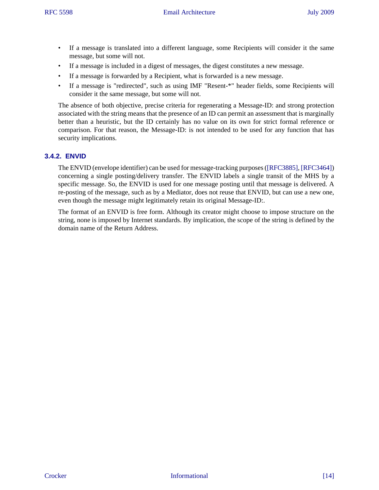- If a message is translated into a different language, some Recipients will consider it the same message, but some will not.
- If a message is included in a digest of messages, the digest constitutes a new message.
- If a message is forwarded by a Recipient, what is forwarded is a new message.
- If a message is "redirected", such as using IMF "Resent-\*" header fields, some Recipients will consider it the same message, but some will not.

The absence of both objective, precise criteria for regenerating a Message-ID: and strong protection associated with the string means that the presence of an ID can permit an assessment that is marginally better than a heuristic, but the ID certainly has no value on its own for strict formal reference or comparison. For that reason, the Message-ID: is not intended to be used for any function that has security implications.

## **3.4.2. ENVID**

<span id="page-13-6"></span><span id="page-13-5"></span>The ENVID (envelope identifier) can be used for message-tracking purposes [\(\[RFC3885\]](#page-34-6), [\[RFC3464\]](#page-34-7)) concerning a single posting/delivery transfer. The ENVID labels a single transit of the MHS by a specific message. So, the ENVID is used for one message posting until that message is delivered. A re-posting of the message, such as by a Mediator, does not reuse that ENVID, but can use a new one, even though the message might legitimately retain its original Message-ID:.

<span id="page-13-4"></span><span id="page-13-3"></span><span id="page-13-2"></span><span id="page-13-1"></span><span id="page-13-0"></span>The format of an ENVID is free form. Although its creator might choose to impose structure on the string, none is imposed by Internet standards. By implication, the scope of the string is defined by the domain name of the Return Address.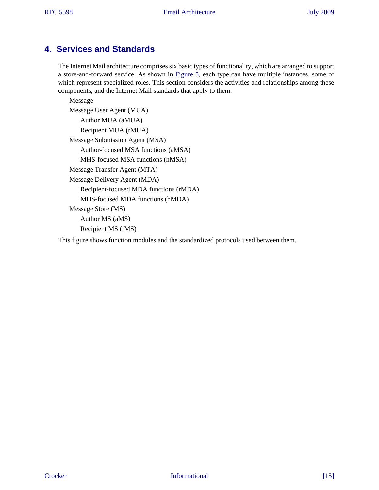# <span id="page-14-0"></span>**4. Services and Standards**

<span id="page-14-1"></span>The Internet Mail architecture comprises six basic types of functionality, which are arranged to support a store-and-forward service. As shown in [Figure 5](#page-15-1), each type can have multiple instances, some of which represent specialized roles. This section considers the activities and relationships among these components, and the Internet Mail standards that apply to them.

Message Message User Agent (MUA) Author MUA (aMUA) Recipient MUA (rMUA) Message Submission Agent (MSA) Author-focused MSA functions (aMSA) MHS-focused MSA functions (hMSA) Message Transfer Agent (MTA) Message Delivery Agent (MDA) Recipient-focused MDA functions (rMDA) MHS-focused MDA functions (hMDA) Message Store (MS) Author MS (aMS) Recipient MS (rMS)

<span id="page-14-2"></span>This figure shows function modules and the standardized protocols used between them.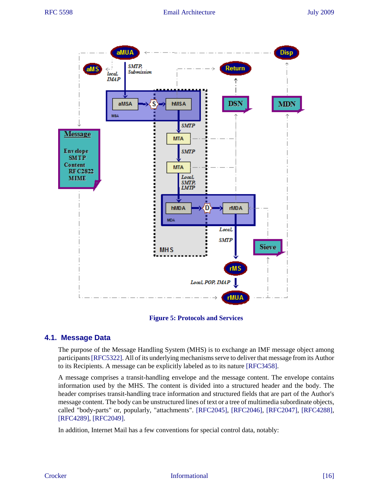<span id="page-15-1"></span>

<span id="page-15-13"></span><span id="page-15-12"></span><span id="page-15-10"></span><span id="page-15-9"></span><span id="page-15-8"></span>**Figure 5: Protocols and Services**

## <span id="page-15-0"></span>**4.1. Message Data**

<span id="page-15-15"></span>The purpose of the Message Handling System (MHS) is to exchange an IMF message object among participants [\[RFC5322\]](#page-33-6). All of its underlying mechanisms serve to deliver that message from its Author to its Recipients. A message can be explicitly labeled as to its nature [\[RFC3458\].](#page-32-7)

A message comprises a transit-handling envelope and the message content. The envelope contains information used by the MHS. The content is divided into a structured header and the body. The header comprises transit-handling trace information and structured fields that are part of the Author's message content. The body can be unstructured lines of text or a tree of multimedia subordinate objects, called "body-parts" or, popularly, "attachments". [\[RFC2045\],](#page-32-2) [\[RFC2046\],](#page-32-8) [\[RFC2047\]](#page-32-9), [\[RFC4288\]](#page-33-11), [\[RFC4289\]](#page-33-12), [\[RFC2049\].](#page-32-10)

<span id="page-15-14"></span><span id="page-15-11"></span><span id="page-15-7"></span><span id="page-15-6"></span><span id="page-15-5"></span><span id="page-15-4"></span><span id="page-15-3"></span><span id="page-15-2"></span>In addition, Internet Mail has a few conventions for special control data, notably: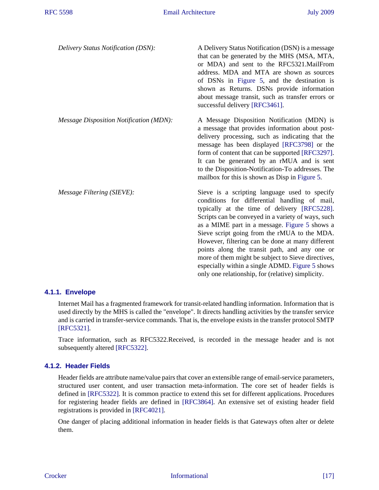<span id="page-16-11"></span><span id="page-16-10"></span><span id="page-16-9"></span><span id="page-16-7"></span><span id="page-16-2"></span>

| Delivery Status Notification (DSN):            | A Delivery Status Notification (DSN) is a message<br>that can be generated by the MHS (MSA, MTA,<br>or MDA) and sent to the RFC5321. MailFrom<br>address. MDA and MTA are shown as sources<br>of DSNs in Figure 5, and the destination is<br>shown as Returns. DSNs provide information<br>about message transit, such as transfer errors or<br>successful delivery [RFC3461].                                                                                                                                                                                           |
|------------------------------------------------|--------------------------------------------------------------------------------------------------------------------------------------------------------------------------------------------------------------------------------------------------------------------------------------------------------------------------------------------------------------------------------------------------------------------------------------------------------------------------------------------------------------------------------------------------------------------------|
| <b>Message Disposition Notification (MDN):</b> | A Message Disposition Notification (MDN) is<br>a message that provides information about post-<br>delivery processing, such as indicating that the<br>message has been displayed [RFC3798] or the<br>form of content that can be supported [RFC3297].<br>It can be generated by an rMUA and is sent<br>to the Disposition-Notification-To addresses. The<br>mailbox for this is shown as Disp in Figure 5.                                                                                                                                                               |
| <i>Message Filtering (SIEVE):</i>              | Sieve is a scripting language used to specify<br>conditions for differential handling of mail,<br>typically at the time of delivery [RFC5228].<br>Scripts can be conveyed in a variety of ways, such<br>as a MIME part in a message. Figure 5 shows a<br>Sieve script going from the rMUA to the MDA.<br>However, filtering can be done at many different<br>points along the transit path, and any one or<br>more of them might be subject to Sieve directives,<br>especially within a single ADMD. Figure 5 shows<br>only one relationship, for (relative) simplicity. |

## **4.1.1. Envelope**

<span id="page-16-18"></span><span id="page-16-14"></span><span id="page-16-6"></span><span id="page-16-3"></span><span id="page-16-1"></span><span id="page-16-0"></span>Internet Mail has a fragmented framework for transit-related handling information. Information that is used directly by the MHS is called the "envelope". It directs handling activities by the transfer service and is carried in transfer-service commands. That is, the envelope exists in the transfer protocol SMTP [\[RFC5321\]](#page-33-3).

<span id="page-16-16"></span><span id="page-16-15"></span><span id="page-16-8"></span><span id="page-16-4"></span>Trace information, such as RFC5322.Received, is recorded in the message header and is not subsequently altered [\[RFC5322\].](#page-33-6)

## **4.1.2. Header Fields**

<span id="page-16-17"></span>Header fields are attribute name/value pairs that cover an extensible range of email-service parameters, structured user content, and user transaction meta-information. The core set of header fields is defined in [\[RFC5322\].](#page-33-6) It is common practice to extend this set for different applications. Procedures for registering header fields are defined in [\[RFC3864\].](#page-33-14) An extensive set of existing header field registrations is provided in [\[RFC4021\]](#page-33-15).

<span id="page-16-13"></span><span id="page-16-12"></span><span id="page-16-5"></span>One danger of placing additional information in header fields is that Gateways often alter or delete them.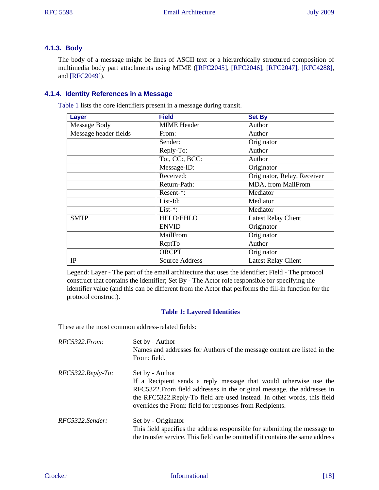## **4.1.3. Body**

<span id="page-17-7"></span><span id="page-17-4"></span>The body of a message might be lines of ASCII text or a hierarchically structured composition of multimedia body part attachments using MIME ([\[RFC2045\],](#page-32-2) [\[RFC2046\],](#page-32-8) [\[RFC2047\]](#page-32-9), [\[RFC4288\]](#page-33-11), and [\[RFC2049\]\)](#page-32-10).

## <span id="page-17-0"></span>**4.1.4. Identity References in a Message**

<span id="page-17-1"></span>[Table 1](#page-17-1) lists the core identifiers present in a message during transit.

<span id="page-17-8"></span><span id="page-17-6"></span><span id="page-17-5"></span><span id="page-17-3"></span>

| Layer                 | <b>Field</b>       | <b>Set By</b>               |
|-----------------------|--------------------|-----------------------------|
| Message Body          | <b>MIME</b> Header | Author                      |
| Message header fields | From:              | Author                      |
|                       | Sender:            | Originator                  |
|                       | Reply-To:          | Author                      |
|                       | To:, CC:, BCC:     | Author                      |
|                       | Message-ID:        | Originator                  |
|                       | Received:          | Originator, Relay, Receiver |
|                       | Return-Path:       | MDA, from MailFrom          |
|                       | Resent-*:          | Mediator                    |
|                       | List-Id:           | Mediator                    |
|                       | $List-*$ :         | Mediator                    |
| <b>SMTP</b>           | <b>HELO/EHLO</b>   | <b>Latest Relay Client</b>  |
|                       | <b>ENVID</b>       | Originator                  |
|                       | MailFrom           | Originator                  |
|                       | <b>RcptTo</b>      | Author                      |
|                       | <b>ORCPT</b>       | Originator                  |
| IP                    | Source Address     | <b>Latest Relay Client</b>  |

Legend: Layer - The part of the email architecture that uses the identifier; Field - The protocol construct that contains the identifier; Set By - The Actor role responsible for specifying the identifier value (and this can be different from the Actor that performs the fill-in function for the protocol construct).

## <span id="page-17-2"></span>**Table 1: Layered Identities**

These are the most common address-related fields:

| RFC5322.From:     | Set by - Author<br>Names and addresses for Authors of the message content are listed in the<br>From: field.                                                                                                                                                                                             |
|-------------------|---------------------------------------------------------------------------------------------------------------------------------------------------------------------------------------------------------------------------------------------------------------------------------------------------------|
| RFC5322.Reply-To: | Set by - Author<br>If a Recipient sends a reply message that would otherwise use the<br>RFC5322. From field addresses in the original message, the addresses in<br>the RFC5322. Reply-To field are used instead. In other words, this field<br>overrides the From: field for responses from Recipients. |
| RFC5322.Sender:   | Set by - Originator<br>This field specifies the address responsible for submitting the message to<br>the transfer service. This field can be omitted if it contains the same address                                                                                                                    |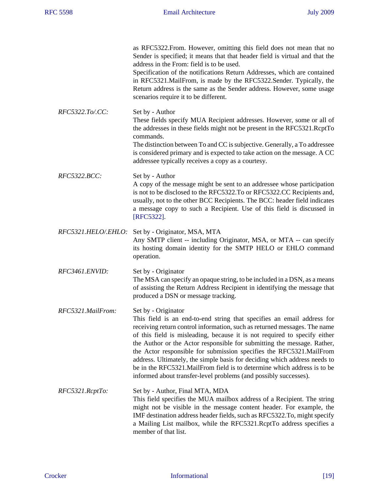<span id="page-18-3"></span><span id="page-18-2"></span><span id="page-18-1"></span><span id="page-18-0"></span>

|                     | as RFC5322. From. However, omitting this field does not mean that no<br>Sender is specified; it means that that header field is virtual and that the<br>address in the From: field is to be used.<br>Specification of the notifications Return Addresses, which are contained<br>in RFC5321. MailFrom, is made by the RFC5322. Sender. Typically, the<br>Return address is the same as the Sender address. However, some usage<br>scenarios require it to be different.                                                                                                                                                                |
|---------------------|----------------------------------------------------------------------------------------------------------------------------------------------------------------------------------------------------------------------------------------------------------------------------------------------------------------------------------------------------------------------------------------------------------------------------------------------------------------------------------------------------------------------------------------------------------------------------------------------------------------------------------------|
| RFC5322.To/.CC:     | Set by - Author<br>These fields specify MUA Recipient addresses. However, some or all of<br>the addresses in these fields might not be present in the RFC5321.RcptTo<br>commands.<br>The distinction between To and CC is subjective. Generally, a To addressee<br>is considered primary and is expected to take action on the message. A CC<br>addressee typically receives a copy as a courtesy.                                                                                                                                                                                                                                     |
| <i>RFC5322.BCC:</i> | Set by - Author<br>A copy of the message might be sent to an addressee whose participation<br>is not to be disclosed to the RFC5322.To or RFC5322.CC Recipients and,<br>usually, not to the other BCC Recipients. The BCC: header field indicates<br>a message copy to such a Recipient. Use of this field is discussed in<br>[RFC5322].                                                                                                                                                                                                                                                                                               |
| RFC5321.HELO/.EHLO: | Set by - Originator, MSA, MTA<br>Any SMTP client -- including Originator, MSA, or MTA -- can specify<br>its hosting domain identity for the SMTP HELO or EHLO command<br>operation.                                                                                                                                                                                                                                                                                                                                                                                                                                                    |
| RFC3461.ENVID:      | Set by - Originator<br>The MSA can specify an opaque string, to be included in a DSN, as a means<br>of assisting the Return Address Recipient in identifying the message that<br>produced a DSN or message tracking.                                                                                                                                                                                                                                                                                                                                                                                                                   |
| RFC5321.MailFrom:   | Set by - Originator<br>This field is an end-to-end string that specifies an email address for<br>receiving return control information, such as returned messages. The name<br>of this field is misleading, because it is not required to specify either<br>the Author or the Actor responsible for submitting the message. Rather,<br>the Actor responsible for submission specifies the RFC5321.MailFrom<br>address. Ultimately, the simple basis for deciding which address needs to<br>be in the RFC5321. MailFrom field is to determine which address is to be<br>informed about transfer-level problems (and possibly successes). |
| RFC5321.RcptTo:     | Set by - Author, Final MTA, MDA<br>This field specifies the MUA mailbox address of a Recipient. The string<br>might not be visible in the message content header. For example, the<br>IMF destination address header fields, such as RFC5322.To, might specify<br>a Mailing List mailbox, while the RFC5321.RcptTo address specifies a<br>member of that list.                                                                                                                                                                                                                                                                         |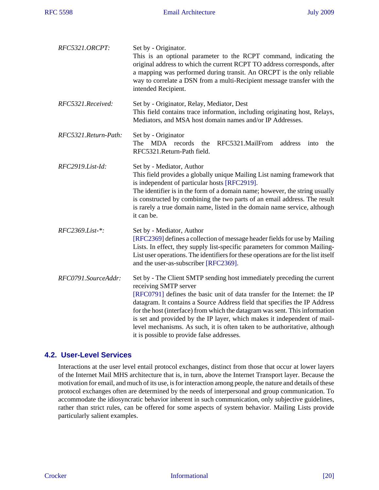<span id="page-19-8"></span><span id="page-19-2"></span>

| RFC5321.ORCPT:       | Set by - Originator.<br>This is an optional parameter to the RCPT command, indicating the<br>original address to which the current RCPT TO address corresponds, after<br>a mapping was performed during transit. An ORCPT is the only reliable<br>way to correlate a DSN from a multi-Recipient message transfer with the<br>intended Recipient.                                                                                                                                                                                                    |
|----------------------|-----------------------------------------------------------------------------------------------------------------------------------------------------------------------------------------------------------------------------------------------------------------------------------------------------------------------------------------------------------------------------------------------------------------------------------------------------------------------------------------------------------------------------------------------------|
| RFC5321.Received:    | Set by - Originator, Relay, Mediator, Dest<br>This field contains trace information, including originating host, Relays,<br>Mediators, and MSA host domain names and/or IP Addresses.                                                                                                                                                                                                                                                                                                                                                               |
| RFC5321.Return-Path: | Set by - Originator<br>The MDA records<br>RFC5321.MailFrom<br>the<br>address<br>into<br>the<br>RFC5321.Return-Path field.                                                                                                                                                                                                                                                                                                                                                                                                                           |
| $RFC2919.List-Id:$   | Set by - Mediator, Author<br>This field provides a globally unique Mailing List naming framework that<br>is independent of particular hosts [RFC2919].<br>The identifier is in the form of a domain name; however, the string usually<br>is constructed by combining the two parts of an email address. The result<br>is rarely a true domain name, listed in the domain name service, although<br>it can be.                                                                                                                                       |
| RFC2369.List-*:      | Set by - Mediator, Author<br>[RFC2369] defines a collection of message header fields for use by Mailing<br>Lists. In effect, they supply list-specific parameters for common Mailing-<br>List user operations. The identifiers for these operations are for the list itself<br>and the user-as-subscriber [RFC2369].                                                                                                                                                                                                                                |
| RFC0791.SourceAddr:  | Set by - The Client SMTP sending host immediately preceding the current<br>receiving SMTP server<br>[RFC0791] defines the basic unit of data transfer for the Internet: the IP<br>datagram. It contains a Source Address field that specifies the IP Address<br>for the host (interface) from which the datagram was sent. This information<br>is set and provided by the IP layer, which makes it independent of mail-<br>level mechanisms. As such, it is often taken to be authoritative, although<br>it is possible to provide false addresses. |

## <span id="page-19-6"></span><span id="page-19-3"></span><span id="page-19-0"></span>**4.2. User-Level Services**

<span id="page-19-7"></span><span id="page-19-5"></span><span id="page-19-4"></span><span id="page-19-1"></span>Interactions at the user level entail protocol exchanges, distinct from those that occur at lower layers of the Internet Mail MHS architecture that is, in turn, above the Internet Transport layer. Because the motivation for email, and much of its use, is for interaction among people, the nature and details of these protocol exchanges often are determined by the needs of interpersonal and group communication. To accommodate the idiosyncratic behavior inherent in such communication, only subjective guidelines, rather than strict rules, can be offered for some aspects of system behavior. Mailing Lists provide particularly salient examples.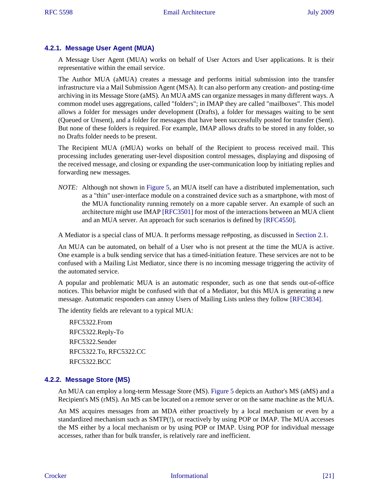## **4.2.1. Message User Agent (MUA)**

<span id="page-20-0"></span>A Message User Agent (MUA) works on behalf of User Actors and User applications. It is their representative within the email service.

The Author MUA (aMUA) creates a message and performs initial submission into the transfer infrastructure via a Mail Submission Agent (MSA). It can also perform any creation- and posting-time archiving in its Message Store (aMS). An MUA aMS can organize messages in many different ways. A common model uses aggregations, called "folders"; in IMAP they are called "mailboxes". This model allows a folder for messages under development (Drafts), a folder for messages waiting to be sent (Queued or Unsent), and a folder for messages that have been successfully posted for transfer (Sent). But none of these folders is required. For example, IMAP allows drafts to be stored in any folder, so no Drafts folder needs to be present.

<span id="page-20-2"></span>The Recipient MUA (rMUA) works on behalf of the Recipient to process received mail. This processing includes generating user-level disposition control messages, displaying and disposing of the received message, and closing or expanding the user-communication loop by initiating replies and forwarding new messages.

<span id="page-20-7"></span>*NOTE:* Although not shown in [Figure 5,](#page-15-1) an MUA itself can have a distributed implementation, such as a "thin" user-interface module on a constrained device such as a smartphone, with most of the MUA functionality running remotely on a more capable server. An example of such an architecture might use IMAP [\[RFC3501\]](#page-32-17) for most of the interactions between an MUA client and an MUA server. An approach for such scenarios is defined by [\[RFC4550\]](#page-33-16).

<span id="page-20-9"></span><span id="page-20-6"></span><span id="page-20-4"></span><span id="page-20-3"></span>A Mediator is a special class of MUA. It performs message re#posting, as discussed in [Section 2.1.](#page-5-1)

An MUA can be automated, on behalf of a User who is not present at the time the MUA is active. One example is a bulk sending service that has a timed-initiation feature. These services are not to be confused with a Mailing List Mediator, since there is no incoming message triggering the activity of the automated service.

A popular and problematic MUA is an automatic responder, such as one that sends out-of-office notices. This behavior might be confused with that of a Mediator, but this MUA is generating a new message. Automatic responders can annoy Users of Mailing Lists unless they follow [\[RFC3834\].](#page-32-18)

The identity fields are relevant to a typical MUA:

<span id="page-20-8"></span>RFC5322.From RFC5322.Reply-To RFC5322.Sender RFC5322.To, RFC5322.CC RFC5322.BCC

## **4.2.2. Message Store (MS)**

An MUA can employ a long-term Message Store (MS). [Figure 5](#page-15-1) depicts an Author's MS (aMS) and a Recipient's MS (rMS). An MS can be located on a remote server or on the same machine as the MUA.

<span id="page-20-5"></span><span id="page-20-1"></span>An MS acquires messages from an MDA either proactively by a local mechanism or even by a standardized mechanism such as SMTP(!), or reactively by using POP or IMAP. The MUA accesses the MS either by a local mechanism or by using POP or IMAP. Using POP for individual message accesses, rather than for bulk transfer, is relatively rare and inefficient.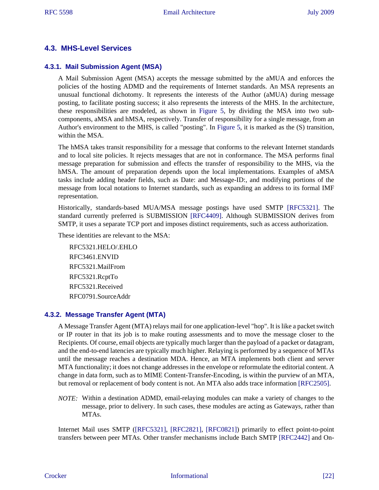## <span id="page-21-0"></span>**4.3. MHS-Level Services**

#### **4.3.1. Mail Submission Agent (MSA)**

A Mail Submission Agent (MSA) accepts the message submitted by the aMUA and enforces the policies of the hosting ADMD and the requirements of Internet standards. An MSA represents an unusual functional dichotomy. It represents the interests of the Author (aMUA) during message posting, to facilitate posting success; it also represents the interests of the MHS. In the architecture, these responsibilities are modeled, as shown in [Figure 5,](#page-15-1) by dividing the MSA into two subcomponents, aMSA and hMSA, respectively. Transfer of responsibility for a single message, from an Author's environment to the MHS, is called "posting". In [Figure 5](#page-15-1), it is marked as the (S) transition, within the MSA.

<span id="page-21-19"></span><span id="page-21-11"></span><span id="page-21-10"></span><span id="page-21-9"></span><span id="page-21-8"></span><span id="page-21-7"></span><span id="page-21-6"></span><span id="page-21-2"></span><span id="page-21-1"></span>The hMSA takes transit responsibility for a message that conforms to the relevant Internet standards and to local site policies. It rejects messages that are not in conformance. The MSA performs final message preparation for submission and effects the transfer of responsibility to the MHS, via the hMSA. The amount of preparation depends upon the local implementations. Examples of aMSA tasks include adding header fields, such as Date: and Message-ID:, and modifying portions of the message from local notations to Internet standards, such as expanding an address to its formal IMF representation.

Historically, standards-based MUA/MSA message postings have used SMTP [\[RFC5321\]](#page-33-3). The standard currently preferred is SUBMISSION [\[RFC4409\].](#page-33-17) Although SUBMISSION derives from SMTP, it uses a separate TCP port and imposes distinct requirements, such as access authorization.

These identities are relevant to the MSA:

<span id="page-21-17"></span><span id="page-21-16"></span> $RFC$ 5321 HELO/EHLO RFC3461.ENVID RFC5321.MailFrom RFC5321.RcptTo RFC5321.Received RFC0791.SourceAddr

#### **4.3.2. Message Transfer Agent (MTA)**

A Message Transfer Agent (MTA) relays mail for one application-level "hop". It is like a packet switch or IP router in that its job is to make routing assessments and to move the message closer to the Recipients. Of course, email objects are typically much larger than the payload of a packet or datagram, and the end-to-end latencies are typically much higher. Relaying is performed by a sequence of MTAs until the message reaches a destination MDA. Hence, an MTA implements both client and server MTA functionality; it does not change addresses in the envelope or reformulate the editorial content. A change in data form, such as to MIME Content-Transfer-Encoding, is within the purview of an MTA, but removal or replacement of body content is not. An MTA also adds trace information [\[RFC2505\]](#page-33-9).

<span id="page-21-14"></span><span id="page-21-5"></span><span id="page-21-4"></span><span id="page-21-3"></span>*NOTE:* Within a destination ADMD, email-relaying modules can make a variety of changes to the message, prior to delivery. In such cases, these modules are acting as Gateways, rather than MTAs.

<span id="page-21-18"></span><span id="page-21-15"></span><span id="page-21-13"></span><span id="page-21-12"></span>Internet Mail uses SMTP [\(\[RFC5321\]](#page-33-3), [\[RFC2821\],](#page-33-2) [\[RFC0821\]\)](#page-33-1) primarily to effect point-to-point transfers between peer MTAs. Other transfer mechanisms include Batch SMTP [\[RFC2442\]](#page-33-18) and On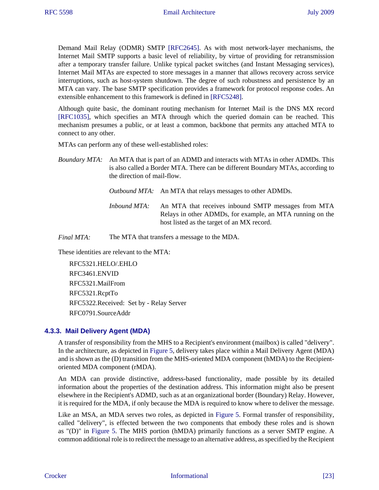<span id="page-22-3"></span>Demand Mail Relay (ODMR) SMTP [\[RFC2645\].](#page-32-19) As with most network-layer mechanisms, the Internet Mail SMTP supports a basic level of reliability, by virtue of providing for retransmission after a temporary transfer failure. Unlike typical packet switches (and Instant Messaging services), Internet Mail MTAs are expected to store messages in a manner that allows recovery across service interruptions, such as host-system shutdown. The degree of such robustness and persistence by an MTA can vary. The base SMTP specification provides a framework for protocol response codes. An extensible enhancement to this framework is defined in [\[RFC5248\]](#page-33-19).

<span id="page-22-2"></span>Although quite basic, the dominant routing mechanism for Internet Mail is the DNS MX record [\[RFC1035\]](#page-32-5), which specifies an MTA through which the queried domain can be reached. This mechanism presumes a public, or at least a common, backbone that permits any attached MTA to connect to any other.

MTAs can perform any of these well-established roles:

<span id="page-22-4"></span>*Outbound MTA:* An MTA that relays messages to other ADMDs.

*Inbound MTA:* An MTA that receives inbound SMTP messages from MTA Relays in other ADMDs, for example, an MTA running on the host listed as the target of an MX record.

*Final MTA:* The MTA that transfers a message to the MDA.

These identities are relevant to the MTA:

RFC5321.HELO/.EHLO RFC3461.ENVID RFC5321.MailFrom RFC5321.RcptTo RFC5322.Received: Set by - Relay Server RFC0791.SourceAddr

#### <span id="page-22-0"></span>**4.3.3. Mail Delivery Agent (MDA)**

A transfer of responsibility from the MHS to a Recipient's environment (mailbox) is called "delivery". In the architecture, as depicted in [Figure 5](#page-15-1), delivery takes place within a Mail Delivery Agent (MDA) and is shown as the (D) transition from the MHS-oriented MDA component (hMDA) to the Recipientoriented MDA component (rMDA).

<span id="page-22-1"></span>An MDA can provide distinctive, address-based functionality, made possible by its detailed information about the properties of the destination address. This information might also be present elsewhere in the Recipient's ADMD, such as at an organizational border (Boundary) Relay. However, it is required for the MDA, if only because the MDA is required to know where to deliver the message.

Like an MSA, an MDA serves two roles, as depicted in [Figure 5](#page-15-1). Formal transfer of responsibility, called "delivery", is effected between the two components that embody these roles and is shown as "(D)" in [Figure 5](#page-15-1). The MHS portion (hMDA) primarily functions as a server SMTP engine. A common additional role is to redirect the message to an alternative address, as specified by the Recipient

*Boundary MTA:* An MTA that is part of an ADMD and interacts with MTAs in other ADMDs. This is also called a Border MTA. There can be different Boundary MTAs, according to the direction of mail-flow.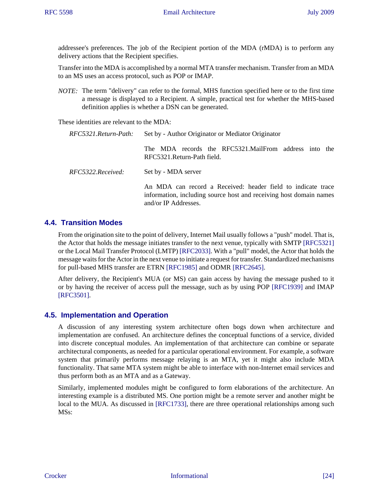addressee's preferences. The job of the Recipient portion of the MDA (rMDA) is to perform any delivery actions that the Recipient specifies.

<span id="page-23-4"></span>Transfer into the MDA is accomplished by a normal MTA transfer mechanism. Transfer from an MDA to an MS uses an access protocol, such as POP or IMAP.

*NOTE:* The term "delivery" can refer to the formal, MHS function specified here or to the first time a message is displayed to a Recipient. A simple, practical test for whether the MHS-based definition applies is whether a DSN can be generated.

These identities are relevant to the MDA:

| RFC5321.Return-Path: | Set by - Author Originator or Mediator Originator                                                                                                          |  |
|----------------------|------------------------------------------------------------------------------------------------------------------------------------------------------------|--|
|                      | The MDA records the RFC5321.MailFrom address into the<br>RFC5321.Return-Path field.                                                                        |  |
| RFC5322. Received:   | Set by - MDA server                                                                                                                                        |  |
|                      | An MDA can record a Received: header field to indicate trace<br>information, including source host and receiving host domain names<br>and/or IP Addresses. |  |

## <span id="page-23-0"></span>**4.4. Transition Modes**

<span id="page-23-15"></span><span id="page-23-12"></span>From the origination site to the point of delivery, Internet Mail usually follows a "push" model. That is, the Actor that holds the message initiates transfer to the next venue, typically with SMTP [\[RFC5321\]](#page-33-3) or the Local Mail Transfer Protocol (LMTP) [\[RFC2033\]](#page-33-20). With a "pull" model, the Actor that holds the message waits for the Actor in the next venue to initiate a request for transfer. Standardized mechanisms for pull-based MHS transfer are ETRN [\[RFC1985\]](#page-33-21) and ODMR [\[RFC2645\]](#page-32-19).

<span id="page-23-14"></span><span id="page-23-13"></span><span id="page-23-11"></span><span id="page-23-10"></span><span id="page-23-8"></span><span id="page-23-7"></span><span id="page-23-6"></span><span id="page-23-5"></span><span id="page-23-3"></span><span id="page-23-2"></span>After delivery, the Recipient's MUA (or MS) can gain access by having the message pushed to it or by having the receiver of access pull the message, such as by using POP [\[RFC1939\]](#page-32-20) and IMAP [\[RFC3501\]](#page-32-17).

## <span id="page-23-1"></span>**4.5. Implementation and Operation**

A discussion of any interesting system architecture often bogs down when architecture and implementation are confused. An architecture defines the conceptual functions of a service, divided into discrete conceptual modules. An implementation of that architecture can combine or separate architectural components, as needed for a particular operational environment. For example, a software system that primarily performs message relaying is an MTA, yet it might also include MDA functionality. That same MTA system might be able to interface with non-Internet email services and thus perform both as an MTA and as a Gateway.

<span id="page-23-9"></span>Similarly, implemented modules might be configured to form elaborations of the architecture. An interesting example is a distributed MS. One portion might be a remote server and another might be local to the MUA. As discussed in [\[RFC1733\]](#page-33-22), there are three operational relationships among such MSs: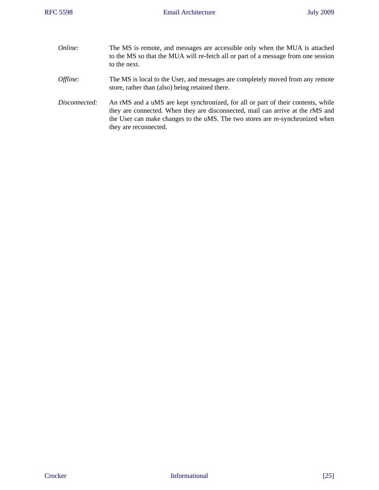| Online:       | The MS is remote, and messages are accessible only when the MUA is attached<br>to the MS so that the MUA will re-fetch all or part of a message from one session<br>to the next.                                                                                             |
|---------------|------------------------------------------------------------------------------------------------------------------------------------------------------------------------------------------------------------------------------------------------------------------------------|
| Offline:      | The MS is local to the User, and messages are completely moved from any remote<br>store, rather than (also) being retained there.                                                                                                                                            |
| Disconnected: | An rMS and a uMS are kept synchronized, for all or part of their contents, while<br>they are connected. When they are disconnected, mail can arrive at the rMS and<br>the User can make changes to the uMS. The two stores are re-synchronized when<br>they are reconnected. |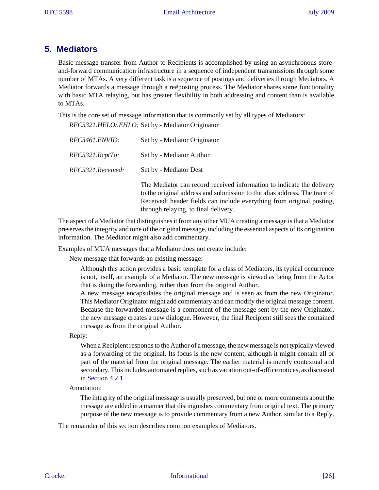# <span id="page-25-0"></span>**5. Mediators**

Basic message transfer from Author to Recipients is accomplished by using an asynchronous storeand-forward communication infrastructure in a sequence of independent transmissions through some number of MTAs. A very different task is a sequence of postings and deliveries through Mediators. A Mediator forwards a message through a re#posting process. The Mediator shares some functionality with basic MTA relaying, but has greater flexibility in both addressing and content than is available to MTAs.

This is the core set of message information that is commonly set by all types of Mediators:

| RFC3461.ENVID:    | Set by - Mediator Originator                                    |
|-------------------|-----------------------------------------------------------------|
| RFC5321.RcptTo:   | Set by - Mediator Author                                        |
| RFC5321.Received: | Set by - Mediator Dest                                          |
|                   | The Mediator can record rece<br>to the original address and sub |

tived information to indicate the delivery mission to the alias address. The trace of Received: header fields can include everything from original posting, through relaying, to final delivery.

The aspect of a Mediator that distinguishes it from any other MUA creating a message is that a Mediator preserves the integrity and tone of the original message, including the essential aspects of its origination information. The Mediator might also add commentary.

Examples of MUA messages that a Mediator does not create include:

New message that forwards an existing message:

Although this action provides a basic template for a class of Mediators, its typical occurrence is not, itself, an example of a Mediator. The new message is viewed as being from the Actor that is doing the forwarding, rather than from the original Author.

A new message encapsulates the original message and is seen as from the new Originator. This Mediator Originator might add commentary and can modify the original message content. Because the forwarded message is a component of the message sent by the new Originator, the new message creates a new dialogue. However, the final Recipient still sees the contained message as from the original Author.

Reply:

<span id="page-25-1"></span>When a Recipient responds to the Author of a message, the new message is not typically viewed as a forwarding of the original. Its focus is the new content, although it might contain all or part of the material from the original message. The earlier material is merely contextual and secondary. This includes automated replies, such as vacation out-of-office notices, as discussed in [Section 4.2.1](#page-19-1).

Annotation:

The integrity of the original message is usually preserved, but one or more comments about the message are added in a manner that distinguishes commentary from original text. The primary purpose of the new message is to provide commentary from a new Author, similar to a Reply.

The remainder of this section describes common examples of Mediators.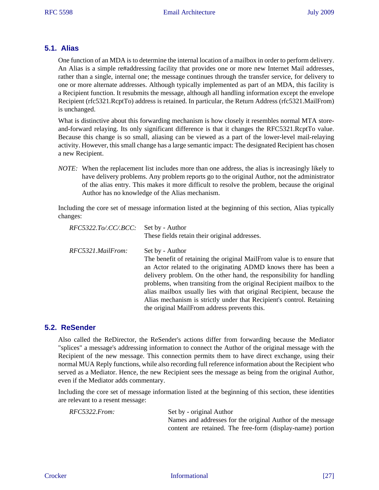## <span id="page-26-0"></span>**5.1. Alias**

One function of an MDA is to determine the internal location of a mailbox in order to perform delivery. An Alias is a simple re#addressing facility that provides one or more new Internet Mail addresses, rather than a single, internal one; the message continues through the transfer service, for delivery to one or more alternate addresses. Although typically implemented as part of an MDA, this facility is a Recipient function. It resubmits the message, although all handling information except the envelope Recipient (rfc5321.RcptTo) address is retained. In particular, the Return Address (rfc5321.MailFrom) is unchanged.

<span id="page-26-11"></span><span id="page-26-10"></span><span id="page-26-9"></span><span id="page-26-8"></span><span id="page-26-7"></span><span id="page-26-5"></span><span id="page-26-4"></span>What is distinctive about this forwarding mechanism is how closely it resembles normal MTA storeand-forward relaying. Its only significant difference is that it changes the RFC5321.RcptTo value. Because this change is so small, aliasing can be viewed as a part of the lower-level mail-relaying activity. However, this small change has a large semantic impact: The designated Recipient has chosen a new Recipient.

*NOTE:* When the replacement list includes more than one address, the alias is increasingly likely to have delivery problems. Any problem reports go to the original Author, not the administrator of the alias entry. This makes it more difficult to resolve the problem, because the original Author has no knowledge of the Alias mechanism.

Including the core set of message information listed at the beginning of this section, Alias typically changes:

<span id="page-26-6"></span><span id="page-26-3"></span>

| $RFC5322.To/.CC/.BCC$ : Set by - Author | These fields retain their original addresses.                                                                                                                                                                                                                                                                                                                                                                                                                                                                 |
|-----------------------------------------|---------------------------------------------------------------------------------------------------------------------------------------------------------------------------------------------------------------------------------------------------------------------------------------------------------------------------------------------------------------------------------------------------------------------------------------------------------------------------------------------------------------|
| RFC5321.MailFrom:                       | Set by - Author<br>The benefit of retaining the original MailFrom value is to ensure that<br>an Actor related to the originating ADMD knows there has been a<br>delivery problem. On the other hand, the responsibility for handling<br>problems, when transiting from the original Recipient mailbox to the<br>alias mailbox usually lies with that original Recipient, because the<br>Alias mechanism is strictly under that Recipient's control. Retaining<br>the original MailFrom address prevents this. |

## <span id="page-26-1"></span>**5.2. ReSender**

<span id="page-26-2"></span>Also called the ReDirector, the ReSender's actions differ from forwarding because the Mediator "splices" a message's addressing information to connect the Author of the original message with the Recipient of the new message. This connection permits them to have direct exchange, using their normal MUA Reply functions, while also recording full reference information about the Recipient who served as a Mediator. Hence, the new Recipient sees the message as being from the original Author, even if the Mediator adds commentary.

Including the core set of message information listed at the beginning of this section, these identities are relevant to a resent message:

*RFC5322.From:* Set by - original Author Names and addresses for the original Author of the message content are retained. The free-form (display-name) portion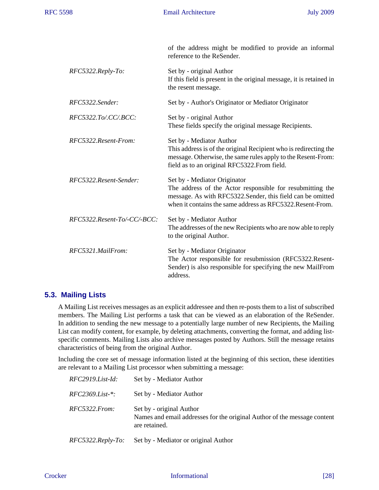|                             | of the address might be modified to provide an informal<br>reference to the ReSender.                                                                                                                                 |
|-----------------------------|-----------------------------------------------------------------------------------------------------------------------------------------------------------------------------------------------------------------------|
| $RFC5322. Reply-To.$        | Set by - original Author<br>If this field is present in the original message, it is retained in<br>the resent message.                                                                                                |
| RFC5322.Sender:             | Set by - Author's Originator or Mediator Originator                                                                                                                                                                   |
| RFC5322.To/.CC/.BCC:        | Set by - original Author<br>These fields specify the original message Recipients.                                                                                                                                     |
| RFC5322.Resent-From:        | Set by - Mediator Author<br>This address is of the original Recipient who is redirecting the<br>message. Otherwise, the same rules apply to the Resent-From:<br>field as to an original RFC5322. From field.          |
| RFC5322.Resent-Sender:      | Set by - Mediator Originator<br>The address of the Actor responsible for resubmitting the<br>message. As with RFC5322.Sender, this field can be omitted<br>when it contains the same address as RFC5322. Resent-From. |
| RFC5322.Resent-To/-CC/-BCC: | Set by - Mediator Author<br>The addresses of the new Recipients who are now able to reply<br>to the original Author.                                                                                                  |
| RFC5321.MailFrom:           | Set by - Mediator Originator<br>The Actor responsible for resubmission (RFC5322.Resent-<br>Sender) is also responsible for specifying the new MailFrom<br>address.                                                    |

## <span id="page-27-0"></span>**5.3. Mailing Lists**

<span id="page-27-1"></span>A Mailing List receives messages as an explicit addressee and then re-posts them to a list of subscribed members. The Mailing List performs a task that can be viewed as an elaboration of the ReSender. In addition to sending the new message to a potentially large number of new Recipients, the Mailing List can modify content, for example, by deleting attachments, converting the format, and adding listspecific comments. Mailing Lists also archive messages posted by Authors. Still the message retains characteristics of being from the original Author.

Including the core set of message information listed at the beginning of this section, these identities are relevant to a Mailing List processor when submitting a message:

| $RFC2919.List-Id:$   | Set by - Mediator Author                                                                                              |
|----------------------|-----------------------------------------------------------------------------------------------------------------------|
| $RFC2369.List-*:$    | Set by - Mediator Author                                                                                              |
| RFC5322.From:        | Set by - original Author<br>Names and email addresses for the original Author of the message content<br>are retained. |
| $RFC5322. Reply-To.$ | Set by - Mediator or original Author                                                                                  |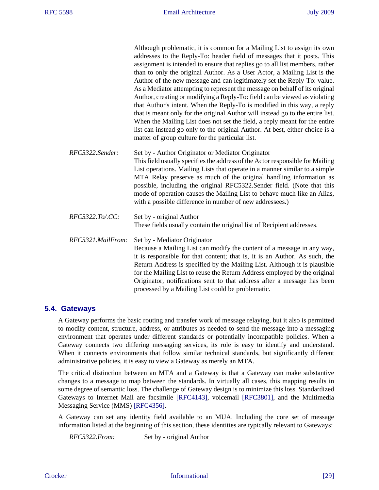|                   | Although problematic, it is common for a Mailing List to assign its own<br>addresses to the Reply-To: header field of messages that it posts. This<br>assignment is intended to ensure that replies go to all list members, rather<br>than to only the original Author. As a User Actor, a Mailing List is the<br>Author of the new message and can legitimately set the Reply-To: value.<br>As a Mediator attempting to represent the message on behalf of its original<br>Author, creating or modifying a Reply-To: field can be viewed as violating<br>that Author's intent. When the Reply-To is modified in this way, a reply<br>that is meant only for the original Author will instead go to the entire list.<br>When the Mailing List does not set the field, a reply meant for the entire<br>list can instead go only to the original Author. At best, either choice is a<br>matter of group culture for the particular list. |
|-------------------|----------------------------------------------------------------------------------------------------------------------------------------------------------------------------------------------------------------------------------------------------------------------------------------------------------------------------------------------------------------------------------------------------------------------------------------------------------------------------------------------------------------------------------------------------------------------------------------------------------------------------------------------------------------------------------------------------------------------------------------------------------------------------------------------------------------------------------------------------------------------------------------------------------------------------------------|
| RFC5322.Sender:   | Set by - Author Originator or Mediator Originator<br>This field usually specifies the address of the Actor responsible for Mailing<br>List operations. Mailing Lists that operate in a manner similar to a simple<br>MTA Relay preserve as much of the original handling information as<br>possible, including the original RFC5322.Sender field. (Note that this<br>mode of operation causes the Mailing List to behave much like an Alias,<br>with a possible difference in number of new addressees.)                                                                                                                                                                                                                                                                                                                                                                                                                               |
| RFC5322.To/.CC:   | Set by - original Author<br>These fields usually contain the original list of Recipient addresses.                                                                                                                                                                                                                                                                                                                                                                                                                                                                                                                                                                                                                                                                                                                                                                                                                                     |
| RFC5321.MailFrom: | Set by - Mediator Originator<br>Because a Mailing List can modify the content of a message in any way,<br>it is responsible for that content; that is, it is an Author. As such, the<br>Return Address is specified by the Mailing List. Although it is plausible<br>for the Mailing List to reuse the Return Address employed by the original<br>Originator, notifications sent to that address after a message has been<br>processed by a Mailing List could be problematic.                                                                                                                                                                                                                                                                                                                                                                                                                                                         |

## <span id="page-28-0"></span>**5.4. Gateways**

<span id="page-28-1"></span>A Gateway performs the basic routing and transfer work of message relaying, but it also is permitted to modify content, structure, address, or attributes as needed to send the message into a messaging environment that operates under different standards or potentially incompatible policies. When a Gateway connects two differing messaging services, its role is easy to identify and understand. When it connects environments that follow similar technical standards, but significantly different administrative policies, it is easy to view a Gateway as merely an MTA.

The critical distinction between an MTA and a Gateway is that a Gateway can make substantive changes to a message to map between the standards. In virtually all cases, this mapping results in some degree of semantic loss. The challenge of Gateway design is to minimize this loss. Standardized Gateways to Internet Mail are facsimile [\[RFC4143\]](#page-34-5), voicemail [\[RFC3801\]](#page-34-1), and the Multimedia Messaging Service (MMS) [\[RFC4356\]](#page-34-8).

A Gateway can set any identity field available to an MUA. Including the core set of message information listed at the beginning of this section, these identities are typically relevant to Gateways:

<span id="page-28-4"></span><span id="page-28-3"></span><span id="page-28-2"></span>*RFC5322.From:* Set by - original Author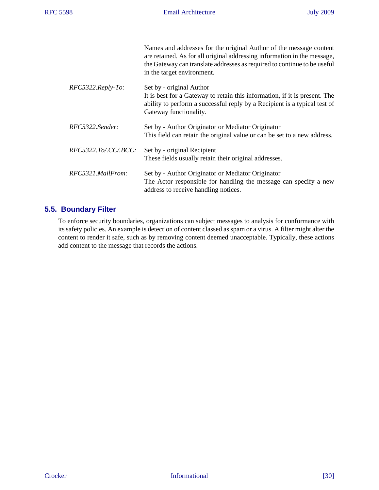|                      | Names and addresses for the original Author of the message content<br>are retained. As for all original addressing information in the message,<br>the Gateway can translate addresses as required to continue to be useful<br>in the target environment. |
|----------------------|----------------------------------------------------------------------------------------------------------------------------------------------------------------------------------------------------------------------------------------------------------|
| $RFC5322. Reply-To.$ | Set by - original Author<br>It is best for a Gateway to retain this information, if it is present. The<br>ability to perform a successful reply by a Recipient is a typical test of<br>Gateway functionality.                                            |
| RFC5322.Sender:      | Set by - Author Originator or Mediator Originator<br>This field can retain the original value or can be set to a new address.                                                                                                                            |
| RFC5322.To/.CC/.BCC: | Set by - original Recipient<br>These fields usually retain their original addresses.                                                                                                                                                                     |
| RFC5321.MailFrom:    | Set by - Author Originator or Mediator Originator<br>The Actor responsible for handling the message can specify a new<br>address to receive handling notices.                                                                                            |

# <span id="page-29-0"></span>**5.5. Boundary Filter**

<span id="page-29-1"></span>To enforce security boundaries, organizations can subject messages to analysis for conformance with its safety policies. An example is detection of content classed as spam or a virus. A filter might alter the content to render it safe, such as by removing content deemed unacceptable. Typically, these actions add content to the message that records the actions.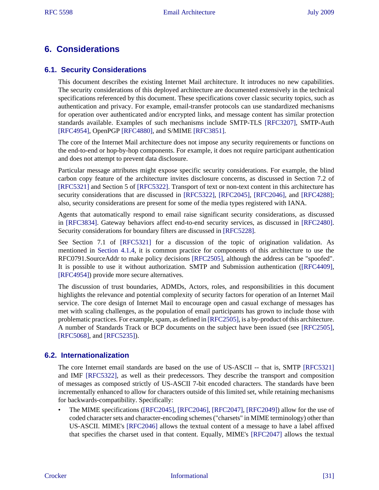# <span id="page-30-0"></span>**6. Considerations**

## <span id="page-30-1"></span>**6.1. Security Considerations**

This document describes the existing Internet Mail architecture. It introduces no new capabilities. The security considerations of this deployed architecture are documented extensively in the technical specifications referenced by this document. These specifications cover classic security topics, such as authentication and privacy. For example, email-transfer protocols can use standardized mechanisms for operation over authenticated and/or encrypted links, and message content has similar protection standards available. Examples of such mechanisms include SMTP-TLS [\[RFC3207\]](#page-34-9), SMTP-Auth [\[RFC4954\]](#page-34-10), OpenPGP [\[RFC4880\]](#page-34-11), and S/MIME [\[RFC3851\].](#page-34-12)

<span id="page-30-22"></span><span id="page-30-21"></span><span id="page-30-18"></span><span id="page-30-16"></span>The core of the Internet Mail architecture does not impose any security requirements or functions on the end-to-end or hop-by-hop components. For example, it does not require participant authentication and does not attempt to prevent data disclosure.

<span id="page-30-31"></span><span id="page-30-30"></span><span id="page-30-27"></span><span id="page-30-19"></span><span id="page-30-6"></span><span id="page-30-4"></span>Particular message attributes might expose specific security considerations. For example, the blind carbon copy feature of the architecture invites disclosure concerns, as discussed in Section 7.2 of [\[RFC5321\]](#page-33-3) and Section 5 of [\[RFC5322\].](#page-33-6) Transport of text or non-text content in this architecture has security considerations that are discussed in [\[RFC5322\],](#page-33-6) [\[RFC2045\],](#page-32-2) [\[RFC2046\]](#page-32-8), and [\[RFC4288\];](#page-33-11) also, security considerations are present for some of the media types registered with IANA.

<span id="page-30-25"></span><span id="page-30-17"></span><span id="page-30-12"></span>Agents that automatically respond to email raise significant security considerations, as discussed in [\[RFC3834\].](#page-32-18) Gateway behaviors affect end-to-end security services, as discussed in [\[RFC2480\]](#page-33-23). Security considerations for boundary filters are discussed in [\[RFC5228\].](#page-33-13)

<span id="page-30-28"></span><span id="page-30-13"></span>See Section 7.1 of [\[RFC5321\]](#page-33-3) for a discussion of the topic of origination validation. As mentioned in [Section 4.1.4](#page-17-0), it is common practice for components of this architecture to use the RFC0791.SourceAddr to make policy decisions [\[RFC2505\]](#page-33-9), although the address can be "spoofed". It is possible to use it without authorization. SMTP and Submission authentication [\(\[RFC4409\]](#page-33-17), [\[RFC4954\]](#page-34-10)) provide more secure alternatives.

<span id="page-30-23"></span><span id="page-30-20"></span><span id="page-30-15"></span><span id="page-30-14"></span>The discussion of trust boundaries, ADMDs, Actors, roles, and responsibilities in this document highlights the relevance and potential complexity of security factors for operation of an Internet Mail service. The core design of Internet Mail to encourage open and casual exchange of messages has met with scaling challenges, as the population of email participants has grown to include those with problematic practices. For example, spam, as defined in [\[RFC2505\],](#page-33-9) is a by-product of this architecture. A number of Standards Track or BCP documents on the subject have been issued (see [\[RFC2505\]](#page-33-9), [\[RFC5068\]](#page-34-4), and [\[RFC5235\]](#page-34-13)).

## <span id="page-30-24"></span><span id="page-30-2"></span>**6.2. Internationalization**

<span id="page-30-32"></span><span id="page-30-29"></span><span id="page-30-26"></span><span id="page-30-3"></span>The core Internet email standards are based on the use of US-ASCII -- that is, SMTP [\[RFC5321\]](#page-33-3) and IMF [\[RFC5322\],](#page-33-6) as well as their predecessors. They describe the transport and composition of messages as composed strictly of US-ASCII 7-bit encoded characters. The standards have been incrementally enhanced to allow for characters outside of this limited set, while retaining mechanisms for backwards-compatibility. Specifically:

<span id="page-30-11"></span><span id="page-30-10"></span><span id="page-30-9"></span><span id="page-30-8"></span><span id="page-30-7"></span><span id="page-30-5"></span>• The MIME specifications [\(\[RFC2045\]](#page-32-2), [\[RFC2046\]](#page-32-8), [\[RFC2047\],](#page-32-9) [\[RFC2049\]](#page-32-10)) allow for the use of coded character sets and character-encoding schemes ("charsets" in MIME terminology) other than US-ASCII. MIME's [\[RFC2046\]](#page-32-8) allows the textual content of a message to have a label affixed that specifies the charset used in that content. Equally, MIME's [\[RFC2047\]](#page-32-9) allows the textual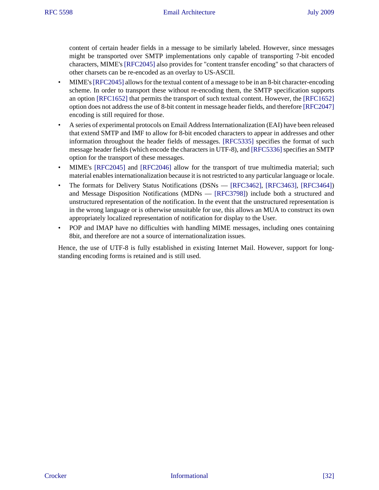<span id="page-31-7"></span><span id="page-31-3"></span><span id="page-31-2"></span>content of certain header fields in a message to be similarly labeled. However, since messages might be transported over SMTP implementations only capable of transporting 7-bit encoded characters, MIME's [\[RFC2045\]](#page-32-2) also provides for "content transfer encoding" so that characters of other charsets can be re-encoded as an overlay to US-ASCII.

- <span id="page-31-4"></span><span id="page-31-1"></span>• MIME's [\[RFC2045\]](#page-32-2) allows for the textual content of a message to be in an 8-bit character-encoding scheme. In order to transport these without re-encoding them, the SMTP specification supports an option [\[RFC1652\]](#page-33-24) that permits the transport of such textual content. However, the [\[RFC1652\]](#page-33-24) option does not address the use of 8-bit content in message header fields, and therefore [\[RFC2047\]](#page-32-9) encoding is still required for those.
- <span id="page-31-13"></span><span id="page-31-12"></span>• A series of experimental protocols on Email Address Internationalization (EAI) have been released that extend SMTP and IMF to allow for 8-bit encoded characters to appear in addresses and other information throughout the header fields of messages. [\[RFC5335\]](#page-34-14) specifies the format of such message header fields (which encode the characters in UTF-8), and [\[RFC5336\]](#page-34-15) specifies an SMTP option for the transport of these messages.
- <span id="page-31-6"></span><span id="page-31-5"></span>• MIME's [\[RFC2045\]](#page-32-2) and [\[RFC2046\]](#page-32-8) allow for the transport of true multimedia material; such material enables internationalization because it is not restricted to any particular language or locale.
- <span id="page-31-11"></span><span id="page-31-10"></span><span id="page-31-9"></span><span id="page-31-8"></span>• The formats for Delivery Status Notifications (DSNs — [\[RFC3462\]](#page-32-21), [\[RFC3463\]](#page-32-22), [\[RFC3464\]](#page-34-7)) and Message Disposition Notifications (MDNs — [\[RFC3798\]\)](#page-32-12) include both a structured and unstructured representation of the notification. In the event that the unstructured representation is in the wrong language or is otherwise unsuitable for use, this allows an MUA to construct its own appropriately localized representation of notification for display to the User.
- <span id="page-31-0"></span>• POP and IMAP have no difficulties with handling MIME messages, including ones containing 8bit, and therefore are not a source of internationalization issues.

Hence, the use of UTF-8 is fully established in existing Internet Mail. However, support for longstanding encoding forms is retained and is still used.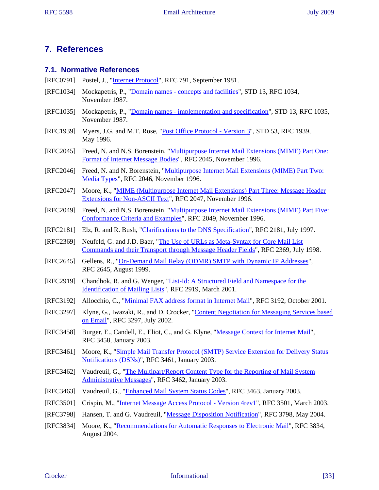# <span id="page-32-0"></span>**7. References**

#### <span id="page-32-1"></span>**7.1. Normative References**

- <span id="page-32-16"></span>[RFC0791] Postel, J., "*[Internet Protocol](http://tools.ietf.org/html/rfc791.txt)"*, RFC 791, September 1981.
- <span id="page-32-4"></span>[RFC1034] Mockapetris, P., "[Domain names - concepts and facilities](http://tools.ietf.org/html/rfc1034.txt)", STD 13, RFC 1034, November 1987.
- <span id="page-32-5"></span>[RFC1035] Mockapetris, P., "[Domain names - implementation and specification"](http://tools.ietf.org/html/rfc1035.txt), STD 13, RFC 1035, November 1987.
- <span id="page-32-20"></span>[RFC1939] Myers, J.G. and M.T. Rose, "[Post Office Protocol - Version 3](http://tools.ietf.org/html/rfc1939.txt)", STD 53, RFC 1939, May 1996.
- <span id="page-32-2"></span>[RFC2045] Freed, N. and N.S. Borenstein, ["Multipurpose Internet Mail Extensions \(MIME\) Part One:](http://tools.ietf.org/html/rfc2045.txt) [Format of Internet Message Bodies"](http://tools.ietf.org/html/rfc2045.txt), RFC 2045, November 1996.
- <span id="page-32-8"></span>[RFC2046] Freed, N. and N. Borenstein, ["Multipurpose Internet Mail Extensions \(MIME\) Part Two:](http://tools.ietf.org/html/rfc2046.txt) [Media Types](http://tools.ietf.org/html/rfc2046.txt)", RFC 2046, November 1996.
- <span id="page-32-9"></span>[RFC2047] Moore, K., ["MIME \(Multipurpose Internet Mail Extensions\) Part Three: Message Header](http://tools.ietf.org/html/rfc2047.txt) [Extensions for Non-ASCII Text](http://tools.ietf.org/html/rfc2047.txt)", RFC 2047, November 1996.
- <span id="page-32-10"></span>[RFC2049] Freed, N. and N.S. Borenstein, ["Multipurpose Internet Mail Extensions \(MIME\) Part Five:](http://tools.ietf.org/html/rfc2049.txt) [Conformance Criteria and Examples](http://tools.ietf.org/html/rfc2049.txt)", RFC 2049, November 1996.
- <span id="page-32-6"></span>[RFC2181] Elz, R. and R. Bush, "[Clarifications to the DNS Specification"](http://tools.ietf.org/html/rfc2181.txt), RFC 2181, July 1997.
- <span id="page-32-15"></span>[RFC2369] Neufeld, G. and J.D. Baer, "[The Use of URLs as Meta-Syntax for Core Mail List](http://tools.ietf.org/html/rfc2369.txt) [Commands and their Transport through Message Header Fields](http://tools.ietf.org/html/rfc2369.txt)", RFC 2369, July 1998.
- <span id="page-32-19"></span>[RFC2645] Gellens, R., "[On-Demand Mail Relay \(ODMR\) SMTP with Dynamic IP Addresses](http://tools.ietf.org/html/rfc2645.txt)", RFC 2645, August 1999.
- <span id="page-32-14"></span>[RFC2919] Chandhok, R. and G. Wenger, "[List-Id: A Structured Field and Namespace for the](http://tools.ietf.org/html/rfc2919.txt) [Identification of Mailing Lists](http://tools.ietf.org/html/rfc2919.txt)", RFC 2919, March 2001.
- <span id="page-32-3"></span>[RFC3192] Allocchio, C., ["Minimal FAX address format in Internet Mail"](http://tools.ietf.org/html/rfc3192.txt), RFC 3192, October 2001.
- <span id="page-32-13"></span>[RFC3297] Klyne, G., Iwazaki, R., and D. Crocker, ["Content Negotiation for Messaging Services based](http://tools.ietf.org/html/rfc3297.txt) [on Email"](http://tools.ietf.org/html/rfc3297.txt), RFC 3297, July 2002.
- <span id="page-32-7"></span>[RFC3458] Burger, E., Candell, E., Eliot, C., and G. Klyne, "[Message Context for Internet Mail"](http://tools.ietf.org/html/rfc3458.txt), RFC 3458, January 2003.
- <span id="page-32-11"></span>[RFC3461] Moore, K., ["Simple Mail Transfer Protocol \(SMTP\) Service Extension for Delivery Status](http://tools.ietf.org/html/rfc3461.txt) [Notifications \(DSNs\)](http://tools.ietf.org/html/rfc3461.txt)", RFC 3461, January 2003.
- <span id="page-32-21"></span>[RFC3462] Vaudreuil, G., "[The Multipart/Report Content Type for the Reporting of Mail System](http://tools.ietf.org/html/rfc3462.txt) [Administrative Messages](http://tools.ietf.org/html/rfc3462.txt)", RFC 3462, January 2003.
- <span id="page-32-22"></span>[RFC3463] Vaudreuil, G., "[Enhanced Mail System Status Codes"](http://tools.ietf.org/html/rfc3463.txt), RFC 3463, January 2003.
- <span id="page-32-17"></span>[RFC3501] Crispin, M., "[Internet Message Access Protocol - Version 4rev1](http://tools.ietf.org/html/rfc3501.txt)", RFC 3501, March 2003.
- <span id="page-32-12"></span>[RFC3798] Hansen, T. and G. Vaudreuil, ["Message Disposition Notification](http://tools.ietf.org/html/rfc3798.txt)", RFC 3798, May 2004.
- <span id="page-32-18"></span>[RFC3834] Moore, K., ["Recommendations for Automatic Responses to Electronic Mail"](http://tools.ietf.org/html/rfc3834.txt), RFC 3834, August 2004.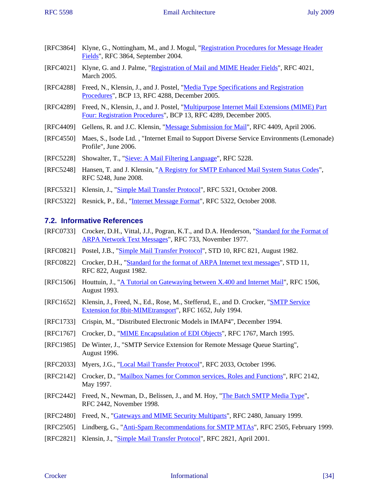- <span id="page-33-14"></span>[RFC3864] Klyne, G., Nottingham, M., and J. Mogul, "[Registration Procedures for Message Header](http://tools.ietf.org/html/rfc3864.txt) [Fields](http://tools.ietf.org/html/rfc3864.txt)", RFC 3864, September 2004.
- <span id="page-33-15"></span>[RFC4021] Klyne, G. and J. Palme, ["Registration of Mail and MIME Header Fields"](http://tools.ietf.org/html/rfc4021.txt), RFC 4021, March 2005.
- <span id="page-33-11"></span>[RFC4288] Freed, N., Klensin, J., and J. Postel, "[Media Type Specifications and Registration](http://tools.ietf.org/html/rfc4288.txt) [Procedures](http://tools.ietf.org/html/rfc4288.txt)", BCP 13, RFC 4288, December 2005.
- <span id="page-33-12"></span>[RFC4289] Freed, N., Klensin, J., and J. Postel, "[Multipurpose Internet Mail Extensions \(MIME\) Part](http://tools.ietf.org/html/rfc4289.txt) [Four: Registration Procedures](http://tools.ietf.org/html/rfc4289.txt)", BCP 13, RFC 4289, December 2005.
- <span id="page-33-17"></span>[RFC4409] Gellens, R. and J.C. Klensin, ["Message Submission for Mail"](http://tools.ietf.org/html/rfc4409.txt), RFC 4409, April 2006.
- <span id="page-33-16"></span>[RFC4550] Maes, S., Isode Ltd. , "Internet Email to Support Diverse Service Environments (Lemonade) Profile", June 2006.
- <span id="page-33-13"></span>[RFC5228] Showalter, T., ["Sieve: A Mail Filtering Language"](http://tools.ietf.org/html/rfc5228.txt), RFC 5228.
- <span id="page-33-19"></span>[RFC5248] Hansen, T. and J. Klensin, "[A Registry for SMTP Enhanced Mail System Status Codes"](http://tools.ietf.org/html/rfc5248.txt), RFC 5248, June 2008.
- <span id="page-33-3"></span>[RFC5321] Klensin, J., ["Simple Mail Transfer Protocol"](http://tools.ietf.org/html/rfc5321.txt), RFC 5321, October 2008.
- <span id="page-33-6"></span>[RFC5322] Resnick, P., Ed., "[Internet Message Format"](http://tools.ietf.org/html/rfc5322.txt), RFC 5322, October 2008.

## <span id="page-33-0"></span>**7.2. Informative References**

- <span id="page-33-4"></span>[RFC0733] Crocker, D.H., Vittal, J.J., Pogran, K.T., and D.A. Henderson, ["Standard for the Format of](http://tools.ietf.org/html/rfc733.txt) [ARPA Network Text Messages"](http://tools.ietf.org/html/rfc733.txt), RFC 733, November 1977.
- <span id="page-33-1"></span>[RFC0821] Postel, J.B., "[Simple Mail Transfer Protocol"](http://tools.ietf.org/html/rfc821.txt), STD 10, RFC 821, August 1982.
- <span id="page-33-5"></span>[RFC0822] Crocker, D.H., "[Standard for the format of ARPA Internet text messages](http://tools.ietf.org/html/rfc822.txt)", STD 11, RFC 822, August 1982.
- <span id="page-33-7"></span>[RFC1506] Houttuin, J., ["A Tutorial on Gatewaying between X.400 and Internet Mail](http://tools.ietf.org/html/rfc1506.txt)", RFC 1506, August 1993.
- <span id="page-33-24"></span>[RFC1652] Klensin, J., Freed, N., Ed., Rose, M., Stefferud, E., and D. Crocker, "**SMTP Service** [Extension for 8bit-MIMEtransport"](http://tools.ietf.org/html/rfc1652.txt), RFC 1652, July 1994.
- <span id="page-33-22"></span>[RFC1733] Crispin, M., "Distributed Electronic Models in IMAP4", December 1994.
- <span id="page-33-8"></span>[RFC1767] Crocker, D., ["MIME Encapsulation of EDI Objects](http://tools.ietf.org/html/rfc1767.txt)", RFC 1767, March 1995.
- <span id="page-33-21"></span>[RFC1985] De Winter, J., "SMTP Service Extension for Remote Message Queue Starting", August 1996.
- <span id="page-33-20"></span>[RFC2033] Myers, J.G., "[Local Mail Transfer Protocol](http://tools.ietf.org/html/rfc2033.txt)", RFC 2033, October 1996.
- <span id="page-33-10"></span>[RFC2142] Crocker, D., ["Mailbox Names for Common services, Roles and Functions](http://tools.ietf.org/html/rfc2142.txt)", RFC 2142, May 1997.
- <span id="page-33-18"></span>[RFC2442] Freed, N., Newman, D., Belissen, J., and M. Hoy, "[The Batch SMTP Media Type](http://tools.ietf.org/html/rfc2442.txt)", RFC 2442, November 1998.
- <span id="page-33-23"></span>[RFC2480] Freed, N., "[Gateways and MIME Security Multiparts](http://tools.ietf.org/html/rfc2480.txt)", RFC 2480, January 1999.
- <span id="page-33-9"></span>[RFC2505] Lindberg, G., ["Anti-Spam Recommendations for SMTP MTAs](http://tools.ietf.org/html/rfc2505.txt)", RFC 2505, February 1999.
- <span id="page-33-2"></span>[RFC2821] Klensin, J., ["Simple Mail Transfer Protocol"](http://tools.ietf.org/html/rfc2821.txt), RFC 2821, April 2001.

#### Crocker Informational [34]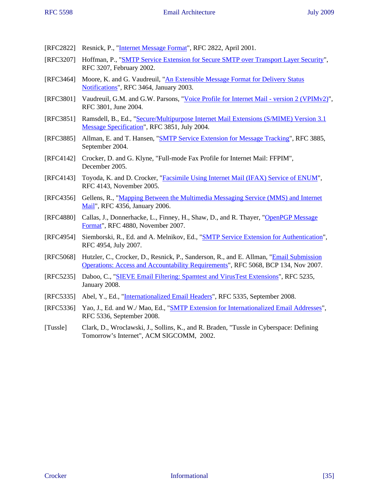- <span id="page-34-0"></span>[RFC2822] Resnick, P., ["Internet Message Format](http://tools.ietf.org/html/rfc2822.txt)", RFC 2822, April 2001.
- <span id="page-34-9"></span>[RFC3207] Hoffman, P., "[SMTP Service Extension for Secure SMTP over Transport Layer Security](http://tools.ietf.org/html/rfc3207.txt)", RFC 3207, February 2002.
- <span id="page-34-7"></span>[RFC3464] Moore, K. and G. Vaudreuil, "[An Extensible Message Format for Delivery Status](http://tools.ietf.org/html/rfc3464.txt) [Notifications"](http://tools.ietf.org/html/rfc3464.txt), RFC 3464, January 2003.
- <span id="page-34-1"></span>[RFC3801] Vaudreuil, G.M. and G.W. Parsons, ["Voice Profile for Internet Mail - version 2 \(VPIMv2\)"](http://tools.ietf.org/html/rfc3801.txt), RFC 3801, June 2004.
- <span id="page-34-12"></span>[RFC3851] Ramsdell, B., Ed., ["Secure/Multipurpose Internet Mail Extensions \(S/MIME\) Version 3.1](http://tools.ietf.org/html/rfc3851.txt) [Message Specification"](http://tools.ietf.org/html/rfc3851.txt), RFC 3851, July 2004.
- <span id="page-34-6"></span>[RFC3885] Allman, E. and T. Hansen, ["SMTP Service Extension for Message Tracking"](http://tools.ietf.org/html/rfc3885.txt), RFC 3885, September 2004.
- <span id="page-34-2"></span>[RFC4142] Crocker, D. and G. Klyne, "Full-mode Fax Profile for Internet Mail: FFPIM", December 2005.
- <span id="page-34-5"></span>[RFC4143] Toyoda, K. and D. Crocker, "[Facsimile Using Internet Mail \(IFAX\) Service of ENUM](http://tools.ietf.org/html/rfc4143.txt)", RFC 4143, November 2005.
- <span id="page-34-8"></span>[RFC4356] Gellens, R., "[Mapping Between the Multimedia Messaging Service \(MMS\) and Internet](http://tools.ietf.org/html/rfc4356.txt) [Mail](http://tools.ietf.org/html/rfc4356.txt)", RFC 4356, January 2006.
- <span id="page-34-11"></span>[RFC4880] Callas, J., Donnerhacke, L., Finney, H., Shaw, D., and R. Thayer, ["OpenPGP Message](http://tools.ietf.org/html/rfc4880.txt) [Format](http://tools.ietf.org/html/rfc4880.txt)", RFC 4880, November 2007.
- <span id="page-34-10"></span>[RFC4954] Siemborski, R., Ed. and A. Melnikov, Ed., "[SMTP Service Extension for Authentication"](http://tools.ietf.org/html/rfc4954.txt), RFC 4954, July 2007.
- <span id="page-34-4"></span>[RFC5068] Hutzler, C., Crocker, D., Resnick, P., Sanderson, R., and E. Allman, "[Email Submission](http://tools.ietf.org/html/rfc5068.txt) [Operations: Access and Accountability Requirements](http://tools.ietf.org/html/rfc5068.txt)", RFC 5068, BCP 134, Nov 2007.
- <span id="page-34-13"></span>[RFC5235] Daboo, C., ["SIEVE Email Filtering: Spamtest and VirusTest Extensions](http://tools.ietf.org/html/rfc5235.txt)", RFC 5235, January 2008.
- <span id="page-34-14"></span>[RFC5335] Abel, Y., Ed., "[Internationalized Email Headers"](http://tools.ietf.org/html/rfc5335.txt), RFC 5335, September 2008.
- <span id="page-34-15"></span>[RFC5336] Yao, J., Ed. and W./ Mao, Ed., "[SMTP Extension for Internationalized Email Addresses](http://tools.ietf.org/html/rfc5336.txt)", RFC 5336, September 2008.
- <span id="page-34-3"></span>[Tussle] Clark, D., Wroclawski, J., Sollins, K., and R. Braden, "Tussle in Cyberspace: Defining Tomorrow's Internet", ACM SIGCOMM, 2002.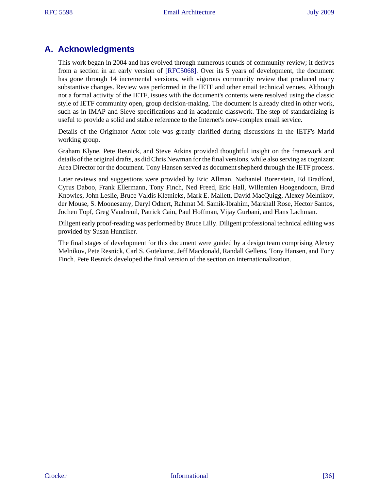# <span id="page-35-0"></span>**A. Acknowledgments**

<span id="page-35-2"></span>This work began in 2004 and has evolved through numerous rounds of community review; it derives from a section in an early version of [\[RFC5068\]](#page-34-4). Over its 5 years of development, the document has gone through 14 incremental versions, with vigorous community review that produced many substantive changes. Review was performed in the IETF and other email technical venues. Although not a formal activity of the IETF, issues with the document's contents were resolved using the classic style of IETF community open, group decision-making. The document is already cited in other work, such as in IMAP and Sieve specifications and in academic classwork. The step of standardizing is useful to provide a solid and stable reference to the Internet's now-complex email service.

<span id="page-35-1"></span>Details of the Originator Actor role was greatly clarified during discussions in the IETF's Marid working group.

Graham Klyne, Pete Resnick, and Steve Atkins provided thoughtful insight on the framework and details of the original drafts, as did Chris Newman for the final versions, while also serving as cognizant Area Director for the document. Tony Hansen served as document shepherd through the IETF process.

Later reviews and suggestions were provided by Eric Allman, Nathaniel Borenstein, Ed Bradford, Cyrus Daboo, Frank Ellermann, Tony Finch, Ned Freed, Eric Hall, Willemien Hoogendoorn, Brad Knowles, John Leslie, Bruce Valdis Kletnieks, Mark E. Mallett, David MacQuigg, Alexey Melnikov, der Mouse, S. Moonesamy, Daryl Odnert, Rahmat M. Samik-Ibrahim, Marshall Rose, Hector Santos, Jochen Topf, Greg Vaudreuil, Patrick Cain, Paul Hoffman, Vijay Gurbani, and Hans Lachman.

Diligent early proof-reading was performed by Bruce Lilly. Diligent professional technical editing was provided by Susan Hunziker.

The final stages of development for this document were guided by a design team comprising Alexey Melnikov, Pete Resnick, Carl S. Gutekunst, Jeff Macdonald, Randall Gellens, Tony Hansen, and Tony Finch. Pete Resnick developed the final version of the section on internationalization.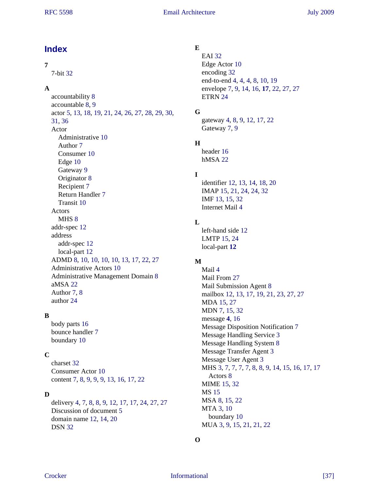# <span id="page-36-0"></span>**Index**

## **7**

7-bit [32](#page-31-0)

## **A**

accountability [8](#page-7-4) accountable [8,](#page-7-5) [9](#page-8-3) actor [5](#page-4-2), [13,](#page-12-1) [18](#page-17-2), [19,](#page-18-0) [21](#page-20-0), [24,](#page-23-2) [26](#page-25-1), [27,](#page-26-2) [28](#page-27-1), [29,](#page-28-1) [30](#page-29-1), [31](#page-30-3), [36](#page-35-1) Actor Administrative [10](#page-9-1) Author [7](#page-6-1) Consumer [10](#page-9-2) Edge [10](#page-9-3) Gateway [9](#page-8-4) Originator [8](#page-7-6) Recipient [7](#page-6-2) Return Handler [7](#page-6-3) Transit [10](#page-9-4) Actors MHS [8](#page-7-7) addr-spec [12](#page-11-4) address addr-spec [12](#page-11-5) local-part [12](#page-11-6) ADMD [8,](#page-7-8) [10](#page-9-5), [10,](#page-9-6) [10](#page-9-7), [10,](#page-9-8) [13](#page-12-2), [17,](#page-16-0) [22](#page-21-1), [27](#page-26-3) Administrative Actors [10](#page-9-9) Administrative Management Domain [8](#page-7-9) aMSA [22](#page-21-2) Author [7](#page-6-4), [8](#page-7-10) author [24](#page-23-3)

## **B**

body parts [16](#page-15-2) bounce handler [7](#page-6-3) boundary [10](#page-9-10)

## **C**

charset [32](#page-31-0) Consumer Actor [10](#page-9-11) content [7,](#page-6-5) [8,](#page-7-11) [9,](#page-8-5) [9,](#page-8-6) [9,](#page-8-7) [13](#page-12-3), [16,](#page-15-3) [17](#page-16-1), [22](#page-21-3)

# **D**

delivery [4](#page-3-1), [7](#page-6-6), [8](#page-7-12), [8](#page-7-13), [9](#page-8-8), [12,](#page-11-7) [17](#page-16-2), [17,](#page-16-3) [24](#page-23-3), [27,](#page-26-4) [27](#page-26-2) Discussion of document [5](#page-4-3) domain name [12](#page-11-8), [14,](#page-13-0) [20](#page-19-2) DSN [32](#page-31-0)

# **E**

EAI [32](#page-31-0) Edge Actor [10](#page-9-12) encoding [32](#page-31-0) end-to-end [4,](#page-3-2) [4,](#page-3-3) [4,](#page-3-4) [8,](#page-7-14) [10](#page-9-13), [19](#page-18-1) envelope [7,](#page-6-7) [9,](#page-8-9) [14](#page-13-1), [16,](#page-15-4) **[17](#page-16-4)**, [22,](#page-21-4) [27](#page-26-5), [27](#page-26-6) ETRN [24](#page-23-2)

# **G**

gateway [4,](#page-3-5) [8,](#page-7-15) [9,](#page-8-10) [12](#page-11-9), [17,](#page-16-5) [22](#page-21-5) Gateway [7](#page-6-8), [9](#page-8-11)

# **H**

header [16](#page-15-5) hMSA [22](#page-21-6)

# **I**

identifier [12](#page-11-10), [13,](#page-12-4) [14](#page-13-2), [18,](#page-17-3) [20](#page-19-3) IMAP [15](#page-14-1), [21,](#page-20-1) [24](#page-23-4), [24,](#page-23-5) [32](#page-31-0) IMF [13](#page-12-5), [15,](#page-14-1) [32](#page-31-0) Internet Mail [4](#page-3-6)

# **L**

left-hand side [12](#page-11-11) LMTP [15](#page-14-1), [24](#page-23-6) local-part **[12](#page-11-12)**

# **M**

Mail [4](#page-3-7) Mail From [27](#page-26-7) Mail Submission Agent [8](#page-7-16) mailbox [12,](#page-11-13) [13](#page-12-6), [17,](#page-16-6) [19](#page-18-2), [21,](#page-20-2) [23](#page-22-1), [27,](#page-26-8) [27](#page-26-2) MDA [15](#page-14-1), [27](#page-26-9) MDN [7,](#page-6-9) [15](#page-14-1), [32](#page-31-0) message **[4](#page-3-8)**, [16](#page-15-6) Message Disposition Notification [7](#page-6-10) Message Handling Service [3](#page-2-2) Message Handling System [8](#page-7-17) Message Transfer Agent [3](#page-2-3) Message User Agent [3](#page-2-4) MHS [3](#page-2-5), [7](#page-6-11), [7](#page-6-3), [7](#page-6-6), [7](#page-6-12), [8](#page-7-18), [8](#page-7-19), [9](#page-8-12), [14,](#page-13-3) [15](#page-14-2), [16,](#page-15-7) [17](#page-16-7), [17](#page-16-8) Actors [8](#page-7-20) MIME [15,](#page-14-1) [32](#page-31-0) MS [15](#page-14-1) MSA [8](#page-7-21), [15,](#page-14-1) [22](#page-21-7) MTA [3,](#page-2-6) [10](#page-9-14) boundary [10](#page-9-15) MUA [3,](#page-2-7) [9,](#page-8-13) [15](#page-14-1), [21,](#page-20-3) [21](#page-20-4), [22](#page-21-8)

## **O**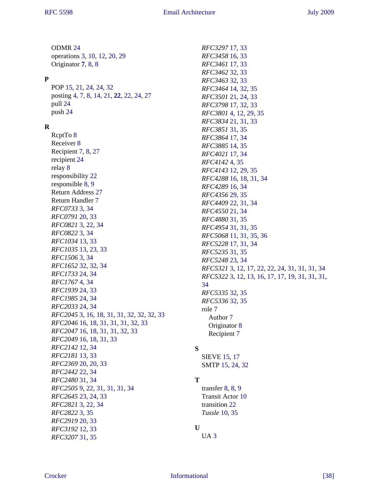ODMR [24](#page-23-6) operations [3](#page-2-8), [10,](#page-9-16) [12](#page-11-14), [20,](#page-19-4) [29](#page-28-1) Originator **[7](#page-6-3)**, [8](#page-7-22), [8](#page-7-23) **P** POP [15,](#page-14-1) [21](#page-20-5), [24,](#page-23-4) [24](#page-23-5), [32](#page-31-0) posting [4,](#page-3-9) [7,](#page-6-6) [8,](#page-7-24) [14](#page-13-4), [21,](#page-20-6) **[22](#page-21-9)**, [22,](#page-21-10) [24](#page-23-7), [27](#page-26-6) pull [24](#page-23-8) push [24](#page-23-8) **R** RcptTo [8](#page-7-25) Receiver [8](#page-7-26) Recipient [7](#page-6-11), [8](#page-7-27), [27](#page-26-10) recipient [24](#page-23-8) relay [8](#page-7-28) responsibility [22](#page-21-11) responsible [8](#page-7-29), [9](#page-8-14) Return Address [27](#page-26-11) Return Handler [7](#page-6-3) *RFC0733* [3](#page-2-9), [34](#page-33-4) *RFC0791* [20,](#page-19-5) [33](#page-32-16) *RFC0821* [3](#page-2-10), [22,](#page-21-12) [34](#page-33-1) *RFC0822* [3](#page-2-11), [34](#page-33-5) *RFC1034* [13,](#page-12-7) [33](#page-32-4) *RFC1035* [13,](#page-12-8) [23](#page-22-2), [33](#page-32-5) *RFC1506* [3](#page-2-12), [34](#page-33-7) *RFC1652* [32,](#page-31-1) [32](#page-31-2), [34](#page-33-24) *RFC1733* [24,](#page-23-9) [34](#page-33-22) *RFC1767* [4](#page-3-10), [34](#page-33-8) *RFC1939* [24,](#page-23-10) [33](#page-32-20) *RFC1985* [24,](#page-23-11) [34](#page-33-21) *RFC2033* [24,](#page-23-12) [34](#page-33-20) *RFC2045* [3](#page-2-13), [16,](#page-15-8) [18](#page-17-4), [31,](#page-30-4) [31](#page-30-5), [32,](#page-31-3) [32](#page-31-4), [32,](#page-31-5) [33](#page-32-2) *RFC2046* [16,](#page-15-9) [18](#page-17-5), [31,](#page-30-6) [31](#page-30-7), [31,](#page-30-8) [32](#page-31-6), [33](#page-32-8) *RFC2047* [16,](#page-15-10) [18](#page-17-6), [31,](#page-30-9) [31](#page-30-10), [32,](#page-31-7) [33](#page-32-9) *RFC2049* [16,](#page-15-11) [18](#page-17-7), [31,](#page-30-11) [33](#page-32-10) *RFC2142* [12,](#page-11-15) [34](#page-33-10) *RFC2181* [13,](#page-12-9) [33](#page-32-6) *RFC2369* [20,](#page-19-6) [20](#page-19-7), [33](#page-32-15) *RFC2442* [22,](#page-21-13) [34](#page-33-18) *RFC2480* [31,](#page-30-12) [34](#page-33-23) *RFC2505* [9](#page-8-15), [22,](#page-21-14) [31](#page-30-13), [31,](#page-30-14) [31](#page-30-15), [34](#page-33-9) *RFC2645* [23,](#page-22-3) [24](#page-23-13), [33](#page-32-19) *RFC2821* [3](#page-2-14), [22,](#page-21-15) [34](#page-33-2) *RFC2822* [3](#page-2-15), [35](#page-34-0) *RFC2919* [20,](#page-19-8) [33](#page-32-14) *RFC3192* [12,](#page-11-16) [33](#page-32-3) *RFC3207* [31,](#page-30-16) [35](#page-34-9) *RFC3297* [17,](#page-16-9) [33](#page-32-13) *RFC3458* [16,](#page-15-12) [33](#page-32-7) *RFC3461* [17,](#page-16-10) [33](#page-32-11) *RFC3462* [32,](#page-31-8) [33](#page-32-21) *RFC3463* [32,](#page-31-9) [33](#page-32-22) *RFC3464* [14,](#page-13-5) [32](#page-31-10), [35](#page-34-7) *RFC3501* [21,](#page-20-7) [24](#page-23-14), [33](#page-32-17) *RFC3798* [17,](#page-16-11) [32](#page-31-11), [33](#page-32-12) *RFC3801* [4](#page-3-11), [12,](#page-11-17) [29](#page-28-2), [35](#page-34-1) *RFC3834* [21,](#page-20-8) [31](#page-30-17), [33](#page-32-18) *RFC3851* [31,](#page-30-18) [35](#page-34-12) *RFC3864* [17,](#page-16-12) [34](#page-33-14) *RFC3885* [14,](#page-13-6) [35](#page-34-6) *RFC4021* [17,](#page-16-13) [34](#page-33-15) *RFC4142* [4](#page-3-12), [35](#page-34-2) *RFC4143* [12,](#page-11-18) [29](#page-28-3), [35](#page-34-5) *RFC4288* [16,](#page-15-13) [18](#page-17-8), [31,](#page-30-19) [34](#page-33-11) *RFC4289* [16,](#page-15-14) [34](#page-33-12) *RFC4356* [29,](#page-28-4) [35](#page-34-8) *RFC4409* [22,](#page-21-16) [31](#page-30-20), [34](#page-33-17) *RFC4550* [21,](#page-20-9) [34](#page-33-16) *RFC4880* [31,](#page-30-21) [35](#page-34-11) *RFC4954* [31,](#page-30-22) [31](#page-30-23), [35](#page-34-10) *RFC5068* [11,](#page-10-0) [31](#page-30-24), [35,](#page-34-4) [36](#page-35-2) *RFC5228* [17,](#page-16-14) [31](#page-30-25), [34](#page-33-13) *RFC5235* [31,](#page-30-26) [35](#page-34-13) *RFC5248* [23,](#page-22-4) [34](#page-33-19) *RFC5321* [3](#page-2-16), [12,](#page-11-19) [17](#page-16-15), [22,](#page-21-17) [22](#page-21-18), [24,](#page-23-15) [31](#page-30-27), [31,](#page-30-28) [31](#page-30-29), [34](#page-33-3) *RFC5322* [3](#page-2-17), [12,](#page-11-20) [13](#page-12-10), [16,](#page-15-15) [17](#page-16-16), [17,](#page-16-17) [19](#page-18-3), [31,](#page-30-30) [31](#page-30-31), [31,](#page-30-32) [34](#page-33-6) *RFC5335* [32,](#page-31-12) [35](#page-34-14) *RFC5336* [32,](#page-31-13) [35](#page-34-15) role [7](#page-6-4) Author [7](#page-6-4) Originator [8](#page-7-30) Recipient [7](#page-6-13) **S** SIEVE [15,](#page-14-1) [17](#page-16-18) SMTP [15](#page-14-1), [24,](#page-23-6) [32](#page-31-0) **T** transfer [8,](#page-7-31) [8,](#page-7-32) [9](#page-8-16) Transit Actor [10](#page-9-17) transition [22](#page-21-19) *Tussle* [10,](#page-9-18) [35](#page-34-3) **U** UA [3](#page-2-18)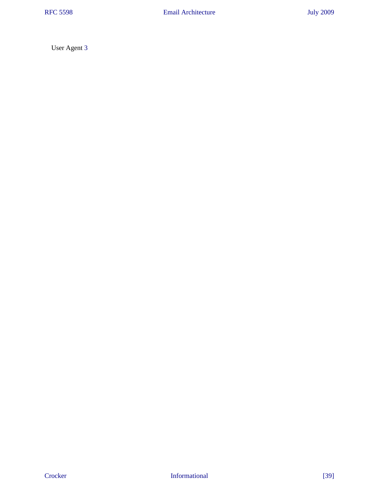User Agent [3](#page-2-19)